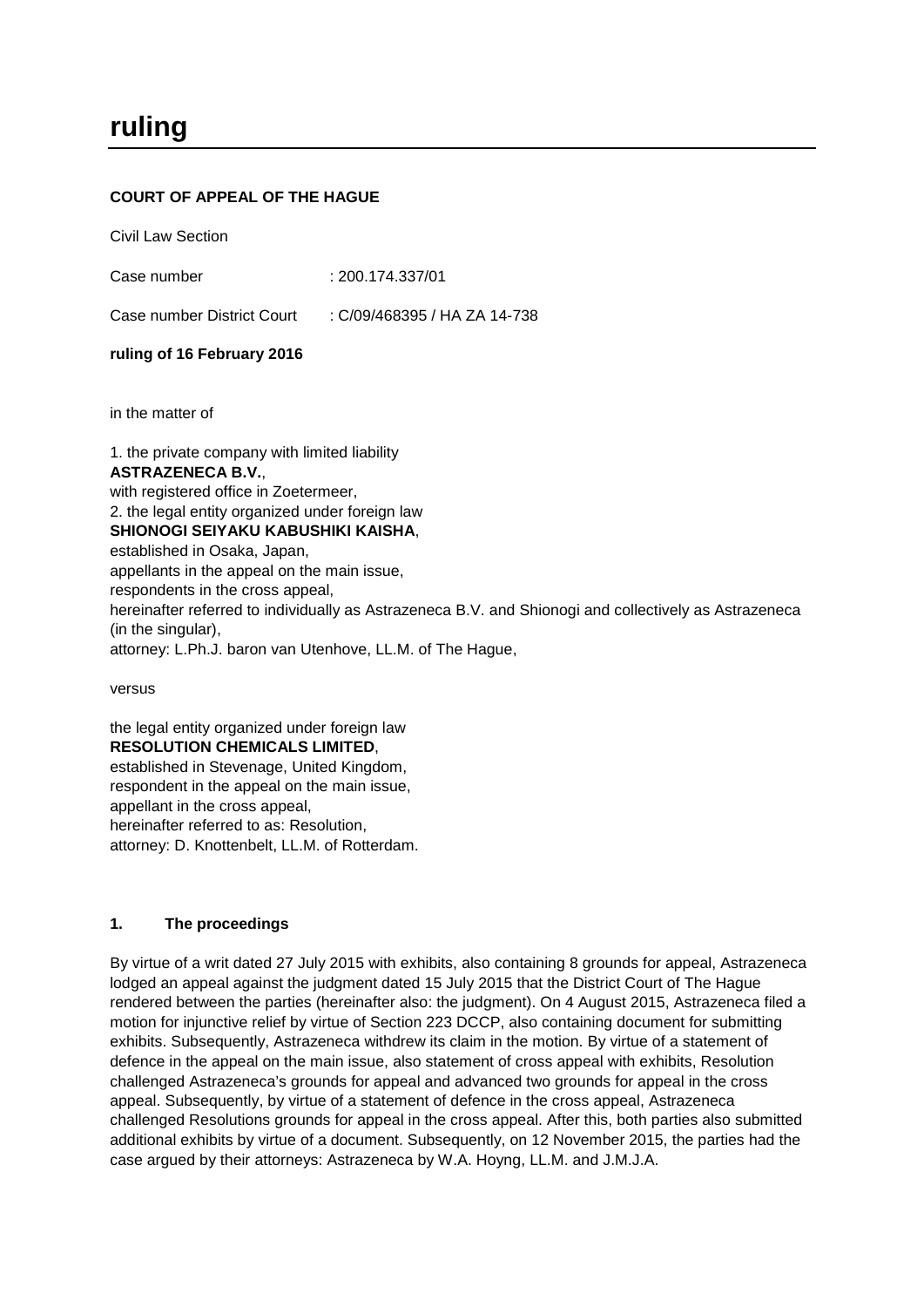# **COURT OF APPEAL OF THE HAGUE**

Civil Law Section

Case number : 200.174.337/01

Case number District Court : C/09/468395 / HA ZA 14-738

### **ruling of 16 February 2016**

in the matter of

1. the private company with limited liability **ASTRAZENECA B.V.**, with registered office in Zoetermeer. 2. the legal entity organized under foreign law **SHIONOGI SEIYAKU KABUSHIKI KAISHA**, established in Osaka, Japan, appellants in the appeal on the main issue, respondents in the cross appeal, hereinafter referred to individually as Astrazeneca B.V. and Shionogi and collectively as Astrazeneca (in the singular), attorney: L.Ph.J. baron van Utenhove, LL.M. of The Hague,

versus

the legal entity organized under foreign law **RESOLUTION CHEMICALS LIMITED**, established in Stevenage, United Kingdom, respondent in the appeal on the main issue, appellant in the cross appeal, hereinafter referred to as: Resolution, attorney: D. Knottenbelt, LL.M. of Rotterdam.

### **1. The proceedings**

By virtue of a writ dated 27 July 2015 with exhibits, also containing 8 grounds for appeal, Astrazeneca lodged an appeal against the judgment dated 15 July 2015 that the District Court of The Hague rendered between the parties (hereinafter also: the judgment). On 4 August 2015, Astrazeneca filed a motion for injunctive relief by virtue of Section 223 DCCP, also containing document for submitting exhibits. Subsequently, Astrazeneca withdrew its claim in the motion. By virtue of a statement of defence in the appeal on the main issue, also statement of cross appeal with exhibits, Resolution challenged Astrazeneca's grounds for appeal and advanced two grounds for appeal in the cross appeal. Subsequently, by virtue of a statement of defence in the cross appeal, Astrazeneca challenged Resolutions grounds for appeal in the cross appeal. After this, both parties also submitted additional exhibits by virtue of a document. Subsequently, on 12 November 2015, the parties had the case argued by their attorneys: Astrazeneca by W.A. Hoyng, LL.M. and J.M.J.A.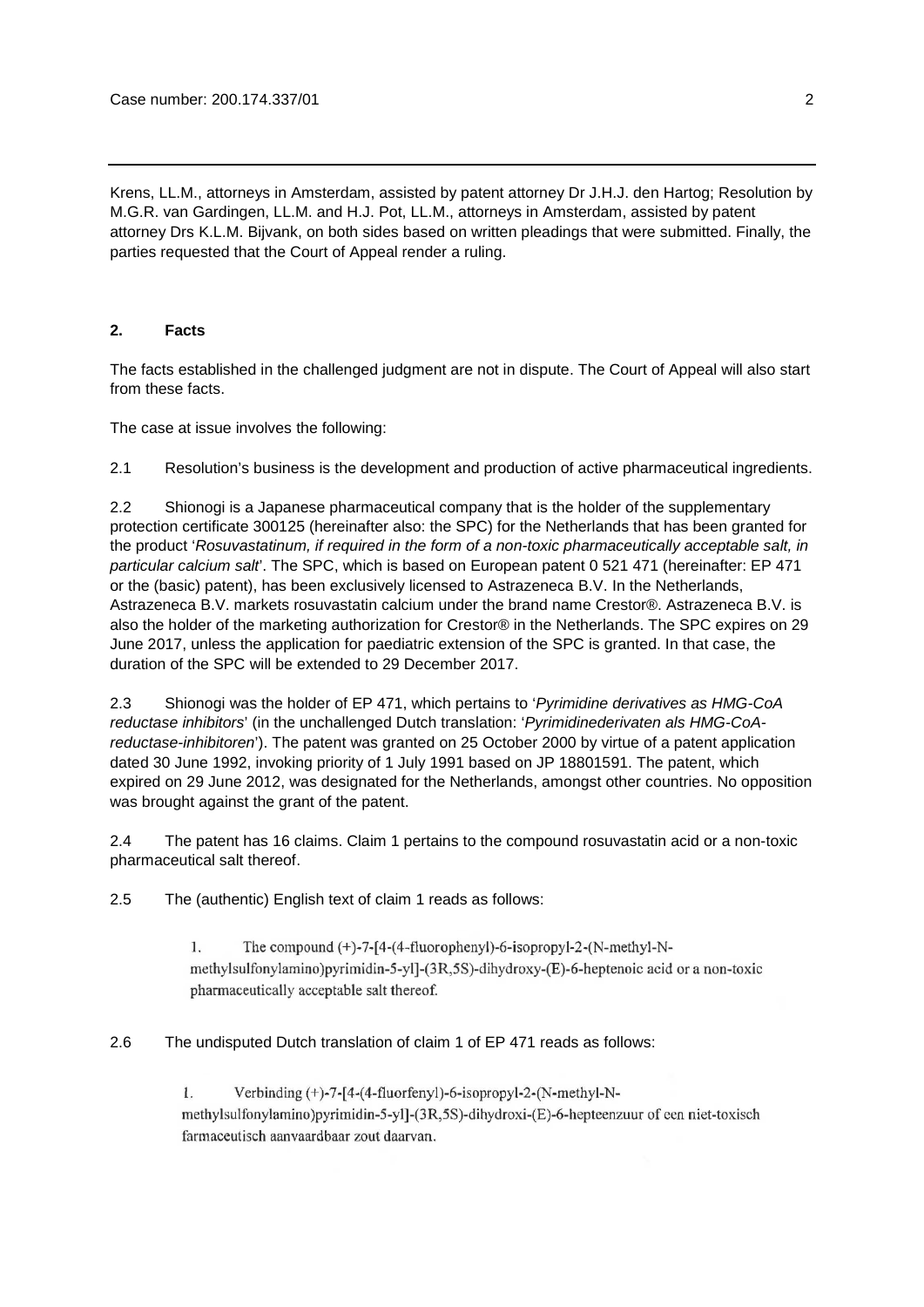Krens, LL.M., attorneys in Amsterdam, assisted by patent attorney Dr J.H.J. den Hartog; Resolution by M.G.R. van Gardingen, LL.M. and H.J. Pot, LL.M., attorneys in Amsterdam, assisted by patent attorney Drs K.L.M. Bijvank, on both sides based on written pleadings that were submitted. Finally, the parties requested that the Court of Appeal render a ruling.

# **2. Facts**

The facts established in the challenged judgment are not in dispute. The Court of Appeal will also start from these facts.

The case at issue involves the following:

2.1 Resolution's business is the development and production of active pharmaceutical ingredients.

2.2 Shionogi is a Japanese pharmaceutical company that is the holder of the supplementary protection certificate 300125 (hereinafter also: the SPC) for the Netherlands that has been granted for the product '*Rosuvastatinum, if required in the form of a non-toxic pharmaceutically acceptable salt, in particular calcium salt*'. The SPC, which is based on European patent 0 521 471 (hereinafter: EP 471 or the (basic) patent), has been exclusively licensed to Astrazeneca B.V. In the Netherlands, Astrazeneca B.V. markets rosuvastatin calcium under the brand name Crestor®. Astrazeneca B.V. is also the holder of the marketing authorization for Crestor® in the Netherlands. The SPC expires on 29 June 2017, unless the application for paediatric extension of the SPC is granted. In that case, the duration of the SPC will be extended to 29 December 2017.

2.3 Shionogi was the holder of EP 471, which pertains to '*Pyrimidine derivatives as HMG-CoA reductase inhibitors*' (in the unchallenged Dutch translation: '*Pyrimidinederivaten als HMG-CoAreductase-inhibitoren*'). The patent was granted on 25 October 2000 by virtue of a patent application dated 30 June 1992, invoking priority of 1 July 1991 based on JP 18801591. The patent, which expired on 29 June 2012, was designated for the Netherlands, amongst other countries. No opposition was brought against the grant of the patent.

2.4 The patent has 16 claims. Claim 1 pertains to the compound rosuvastatin acid or a non-toxic pharmaceutical salt thereof.

2.5 The (authentic) English text of claim 1 reads as follows:

 $1.$ The compound  $(+)$ -7-[4- $(4$ -fluorophenyl)-6-isopropyl-2- $(N$ -methyl-Nmethylsulfonylamino)pyrimidin-5-yl]-(3R,5S)-dihydroxy-(E)-6-heptenoic acid or a non-toxic pharmaceutically acceptable salt thereof.

2.6 The undisputed Dutch translation of claim 1 of EP 471 reads as follows:

Verbinding (+)-7-[4-(4-fluorfenyl)-6-isopropyl-2-(N-methyl-N- $\mathbf{1}$ . methylsulfonylamino)pyrimidin-5-yl]-(3R,5S)-dihydroxi-(E)-6-hepteenzuur of een niet-toxisch farmaceutisch aanvaardbaar zout daarvan.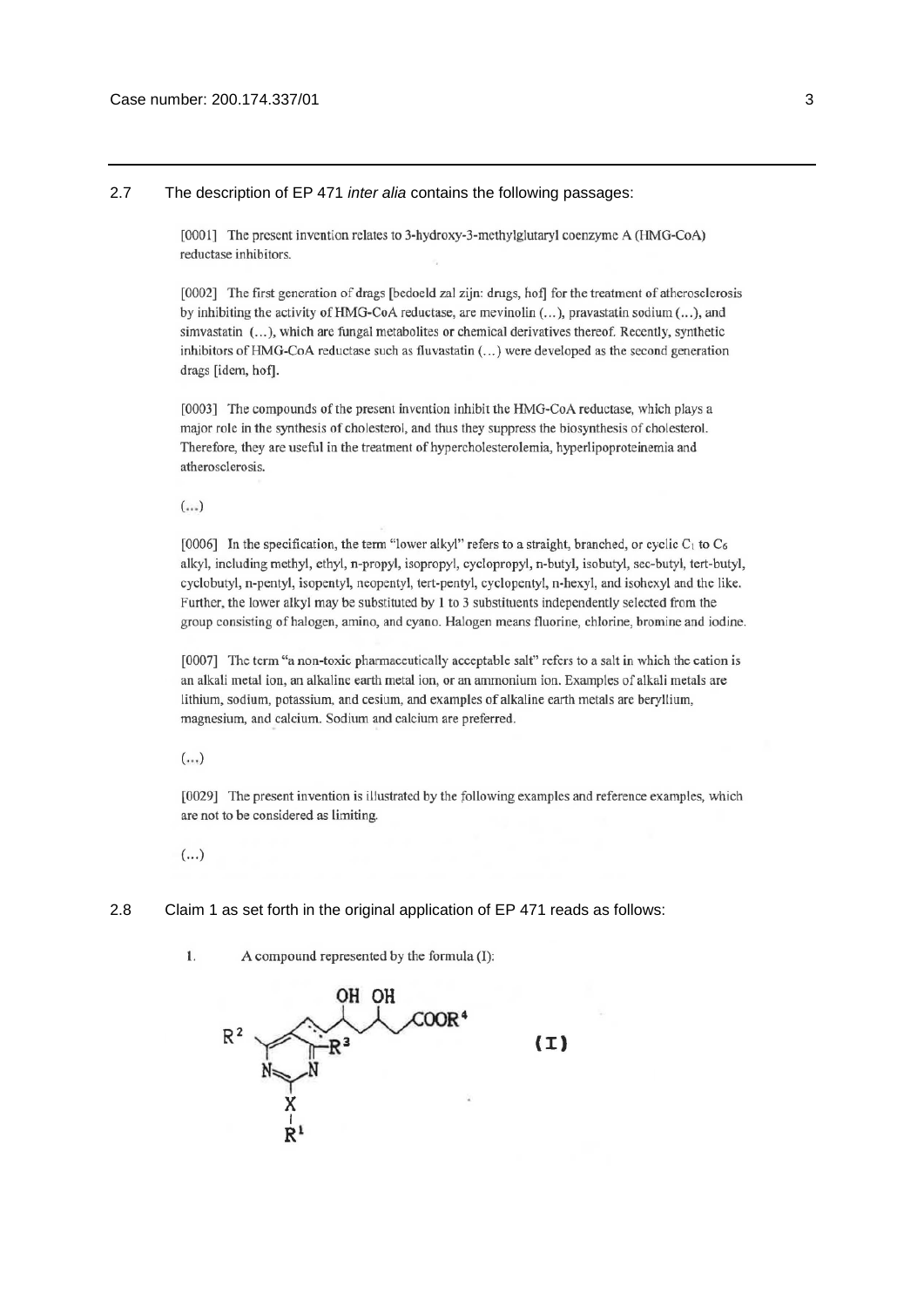2.7 The description of EP 471 *inter alia* contains the following passages:

[0001] The present invention relates to 3-hydroxy-3-methylglutaryl coenzyme A (HMG-CoA) reductase inhibitors.

[0002] The first generation of drags [bedoeld zal zijn: drugs, hof] for the treatment of atherosclerosis by inhibiting the activity of HMG-CoA reductase, are mevinolin (...), pravastatin sodium (...), and simvastatin (...), which are fungal metabolites or chemical derivatives thereof. Recently, synthetic inhibitors of HMG-CoA reductase such as fluvastatin (...) were developed as the second generation drags [idem, hof].

[0003] The compounds of the present invention inhibit the HMG-CoA reductase, which plays a major role in the synthesis of cholesterol, and thus they suppress the biosynthesis of cholesterol. Therefore, they are useful in the treatment of hypercholesterolemia, hyperlipoproteinemia and atherosclerosis.

 $(...)$ 

[0006] In the specification, the term "lower alkyl" refers to a straight, branched, or cyclic  $C_1$  to  $C_6$ alkyl, including methyl, ethyl, n-propyl, isopropyl, cyclopropyl, n-butyl, isobutyl, sec-butyl, tert-butyl, cyclobutyl, n-pentyl, isopentyl, neopentyl, tert-pentyl, cyclopentyl, n-hexyl, and isohexyl and the like. Further, the lower alkyl may be substituted by 1 to 3 substituents independently selected from the group consisting of halogen, amino, and cyano. Halogen means fluorine, chlorine, bromine and iodine.

[0007] The term "a non-toxic pharmaceutically acceptable salt" refers to a salt in which the cation is an alkali metal ion, an alkaline earth metal ion, or an ammonium ion. Examples of alkali metals are lithium, sodium, potassium, and cesium, and examples of alkaline earth metals are beryllium, magnesium, and calcium. Sodium and calcium are preferred.

 $(\ldots)$ 

[0029] The present invention is illustrated by the following examples and reference examples, which are not to be considered as limiting.

 $(\ldots)$ 

1.

- 2.8 Claim 1 as set forth in the original application of EP 471 reads as follows:
	- он он  $(I)$

A compound represented by the formula (I):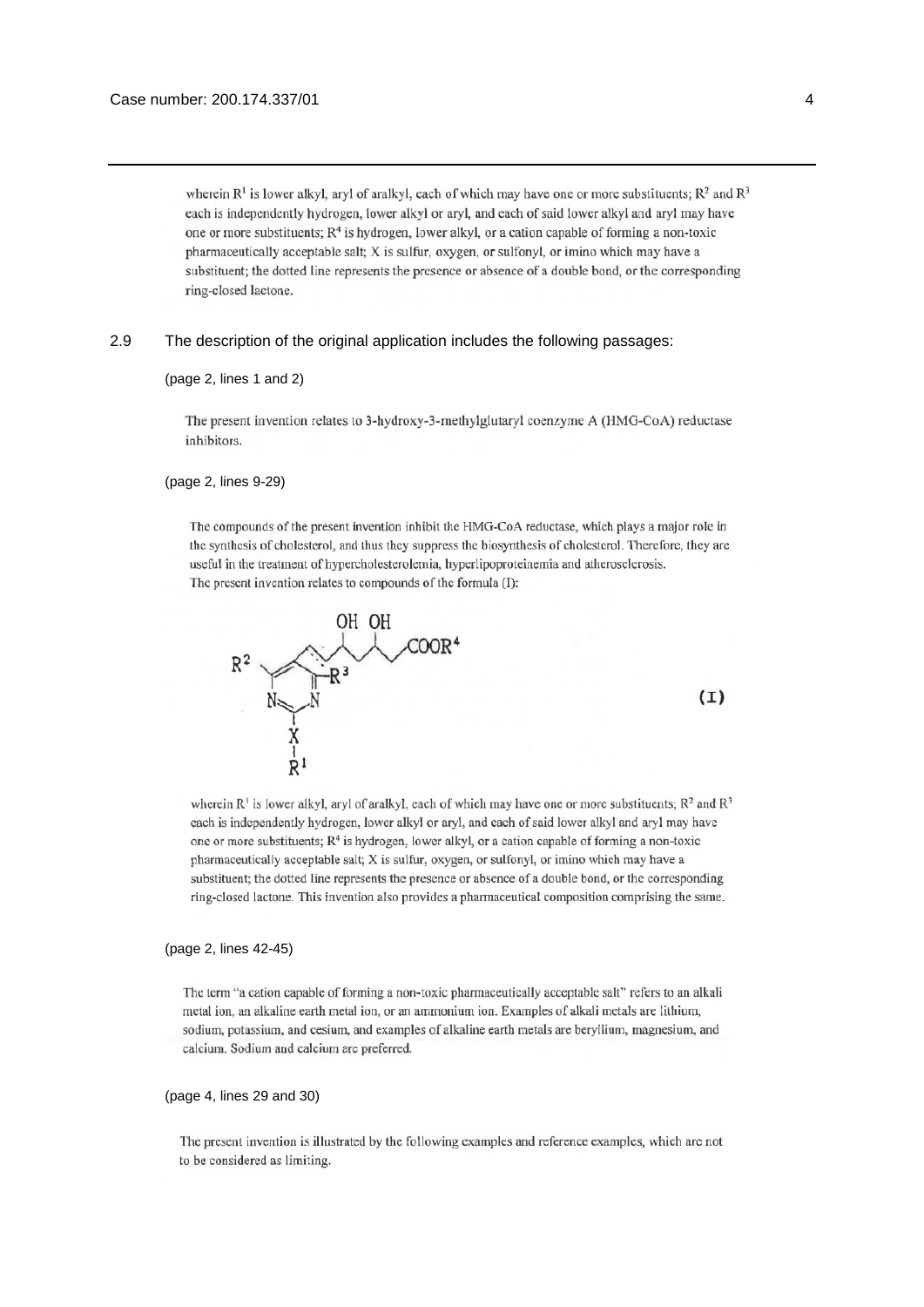wherein  $R^1$  is lower alkyl, aryl of aralkyl, each of which may have one or more substituents;  $R^2$  and  $R^3$ each is independently hydrogen, lower alkyl or aryl, and each of said lower alkyl and aryl may have one or more substituents;  $R<sup>4</sup>$  is hydrogen, lower alkyl, or a cation capable of forming a non-toxic pharmaceutically acceptable salt; X is sulfur, oxygen, or sulfonyl, or imino which may have a substituent; the dotted line represents the presence or absence of a double bond, or the corresponding ring-closed lactone.

#### 2.9 The description of the original application includes the following passages:

#### (page 2, lines 1 and 2)

The present invention relates to 3-hydroxy-3-methylglutaryl coenzyme A (HMG-CoA) reductase inhibitors.

#### (page 2, lines 9-29)

The compounds of the present invention inhibit the HMG-CoA reductase, which plays a major role in the synthesis of cholesterol, and thus they suppress the biosynthesis of cholesterol. Therefore, they are useful in the treatment of hypercholesterolemia, hyperlipoproteinemia and atherosclerosis. The present invention relates to compounds of the formula (I):



 $(I)$ 

wherein  $R^1$  is lower alkyl, aryl of aralkyl, each of which may have one or more substituents;  $R^2$  and  $R^3$ each is independently hydrogen, lower alkyl or aryl, and each of said lower alkyl and aryl may have one or more substituents; R<sup>4</sup> is hydrogen, lower alkyl, or a cation capable of forming a non-toxic pharmaceutically acceptable salt; X is sulfur, oxygen, or sulfonyl, or imino which may have a substituent; the dotted line represents the presence or absence of a double bond, or the corresponding ring-closed lactone. This invention also provides a pharmaceutical composition comprising the same.

#### (page 2, lines 42-45)

The term "a cation capable of forming a non-toxic pharmaceutically acceptable salt" refers to an alkali metal ion, an alkaline earth metal ion, or an ammonium ion. Examples of alkali metals are lithium, sodium, potassium, and cesium, and examples of alkaline earth metals are beryllium, magnesium, and calcium. Sodium and calcium are preferred.

#### (page 4, lines 29 and 30)

The present invention is illustrated by the following examples and reference examples, which are not to be considered as limiting.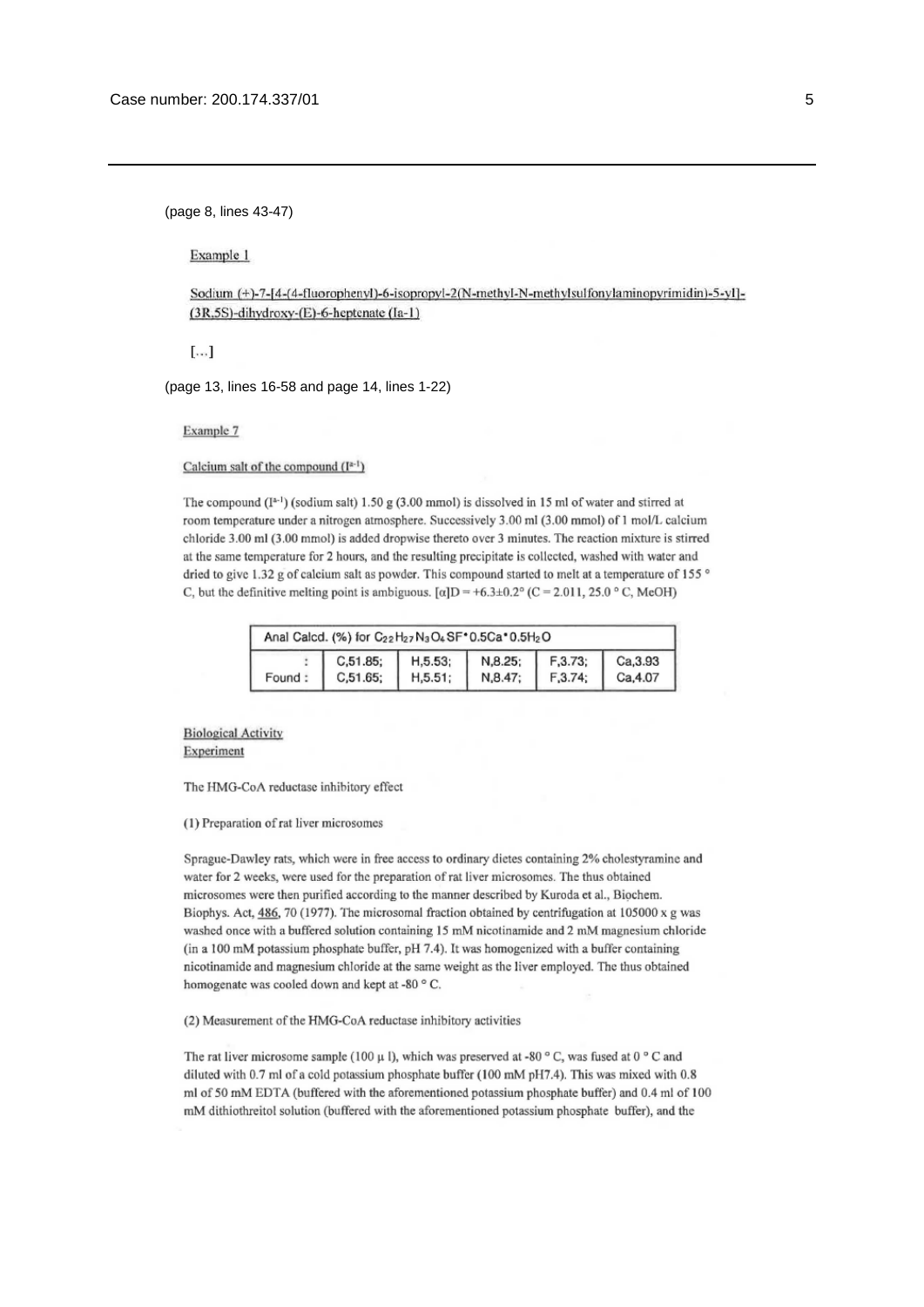(page 8, lines 43-47)

Example 1

Sodium (+)-7-[4-(4-fluorophenyl)-6-isopropyl-2(N-methyl-N-methylsulfonylaminopyrimidin)-5-yl]-(3R,5S)-dihydroxy-(E)-6-heptenate (Ia-1)

 $\lceil \ldots \rceil$ 

(page 13, lines 16-58 and page 14, lines 1-22)

Example 7

Calcium salt of the compound  $(I^{a-1})$ 

The compound  $(I<sup>a-1</sup>)$  (sodium salt) 1.50 g (3.00 mmol) is dissolved in 15 ml of water and stirred at room temperature under a nitrogen atmosphere. Successively 3.00 ml (3.00 mmol) of 1 mol/L calcium chloride 3.00 ml (3.00 mmol) is added dropwise thereto over 3 minutes. The reaction mixture is stirred at the same temperature for 2 hours, and the resulting precipitate is collected, washed with water and dried to give 1.32 g of calcium salt as powder. This compound started to melt at a temperature of 155 ° C, but the definitive melting point is ambiguous.  $\lceil \alpha \rceil D = +6.3 \pm 0.2^{\circ}$  (C = 2.011, 25.0 °C, MeOH)

| Anal Calcd. (%) for C <sub>22</sub> H <sub>27</sub> N <sub>3</sub> O <sub>4</sub> SF*0.5Ca*0.5H <sub>2</sub> O |  |                                                     |                 |                    |                      |
|----------------------------------------------------------------------------------------------------------------|--|-----------------------------------------------------|-----------------|--------------------|----------------------|
| Found:                                                                                                         |  | $C, 51.85;$ H, 5.53; N, 8.25;<br>$C,51.65;$ H,5.51; | $\vert$ N,8.47; | F, 3.73<br>F, 3.74 | Ca, 3.93<br>Ca, 4.07 |

**Biological Activity** Experiment

The HMG-CoA reductase inhibitory effect

(1) Preparation of rat liver microsomes

Sprague-Dawley rats, which were in free access to ordinary dietes containing 2% cholestyramine and water for 2 weeks, were used for the preparation of rat liver microsomes. The thus obtained microsomes were then purified according to the manner described by Kuroda et al., Biochem. Biophys. Act, 486, 70 (1977). The microsomal fraction obtained by centrifugation at 105000 x g was washed once with a buffered solution containing 15 mM nicotinamide and 2 mM magnesium chloride (in a 100 mM potassium phosphate buffer, pH 7.4). It was homogenized with a buffer containing nicotinamide and magnesium chloride at the same weight as the liver employed. The thus obtained homogenate was cooled down and kept at -80 °C.

#### (2) Measurement of the HMG-CoA reductase inhibitory activities

The rat liver microsome sample (100  $\mu$  l), which was preserved at -80  $\degree$  C, was fused at 0  $\degree$  C and diluted with 0.7 ml of a cold potassium phosphate buffer (100 mM pH7.4). This was mixed with 0.8 ml of 50 mM EDTA (buffered with the aforementioned potassium phosphate buffer) and 0.4 ml of 100 mM dithiothreitol solution (buffered with the aforementioned potassium phosphate buffer), and the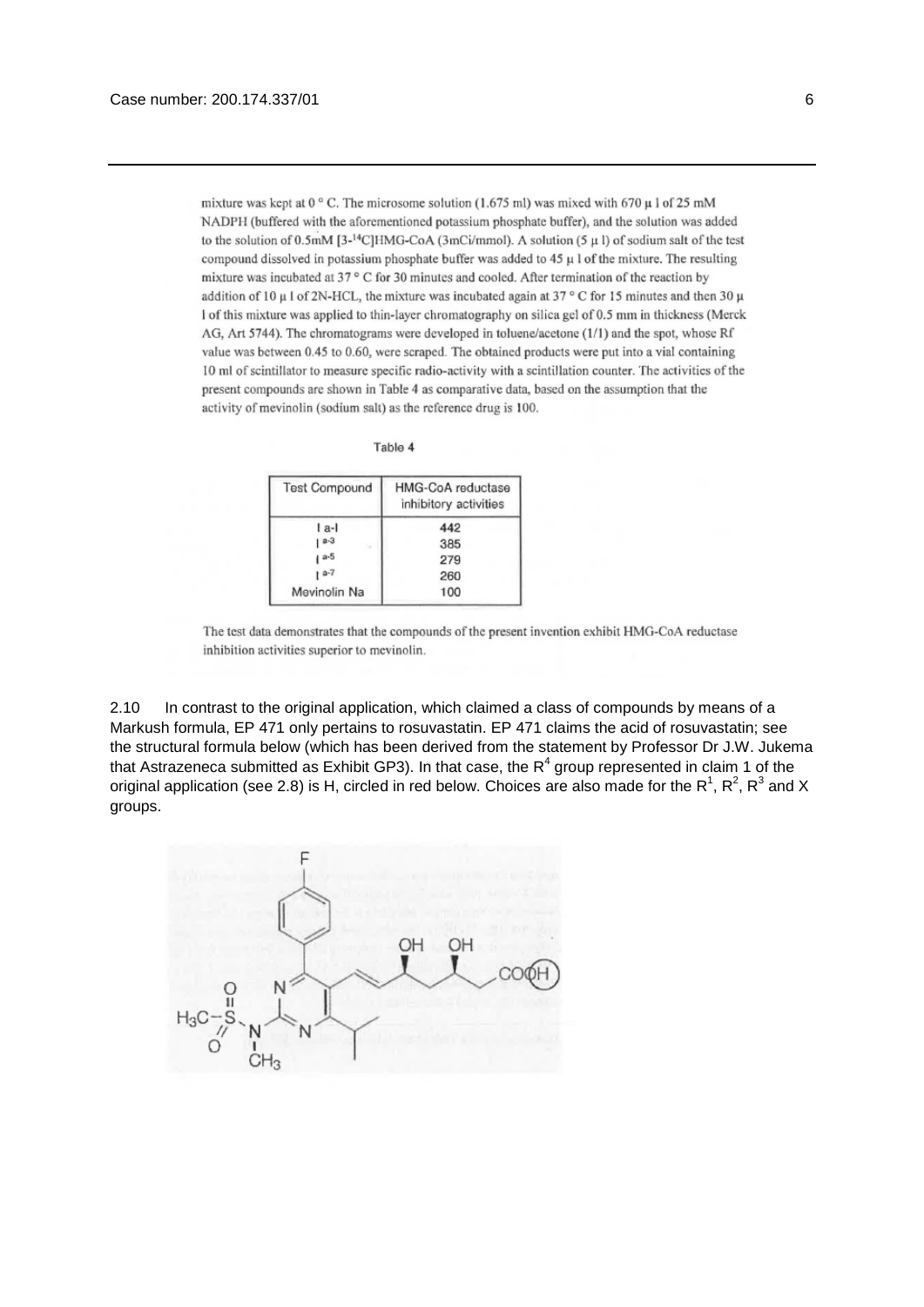mixture was kept at 0  $^{\circ}$  C. The microsome solution (1.675 ml) was mixed with 670  $\mu$  1 of 25 mM NADPH (buffered with the aforementioned potassium phosphate buffer), and the solution was added to the solution of 0.5mM [3-<sup>14</sup>C]HMG-CoA (3mCi/mmol). A solution (5  $\mu$  l) of sodium salt of the test compound dissolved in potassium phosphate buffer was added to  $45 \mu$  l of the mixture. The resulting mixture was incubated at 37° C for 30 minutes and cooled. After termination of the reaction by addition of 10  $\mu$  l of 2N-HCL, the mixture was incubated again at 37 ° C for 15 minutes and then 30  $\mu$ I of this mixture was applied to thin-layer chromatography on silica gel of 0.5 mm in thickness (Merck AG, Art 5744). The chromatograms were developed in toluene/acetone (1/1) and the spot, whose Rf value was between 0.45 to 0.60, were scraped. The obtained products were put into a vial containing 10 ml of scintillator to measure specific radio-activity with a scintillation counter. The activities of the present compounds are shown in Table 4 as comparative data, based on the assumption that the activity of mevinolin (sodium salt) as the reference drug is 100.

Table 4

| <b>Test Compound</b> | HMG-CoA reductase<br>inhibitory activities |  |  |
|----------------------|--------------------------------------------|--|--|
| l a-l                | 442                                        |  |  |
| $a-3$<br>S.          | 385                                        |  |  |
| $a-5$                | 279                                        |  |  |
| $1a-7$               | 260                                        |  |  |
| Mevinolin Na         | 100                                        |  |  |

The test data demonstrates that the compounds of the present invention exhibit HMG-CoA reductase inhibition activities superior to mevinolin.

2.10 In contrast to the original application, which claimed a class of compounds by means of a Markush formula, EP 471 only pertains to rosuvastatin. EP 471 claims the acid of rosuvastatin; see the structural formula below (which has been derived from the statement by Professor Dr J.W. Jukema that Astrazeneca submitted as Exhibit GP3). In that case, the  $R^4$  group represented in claim 1 of the original application (see 2.8) is H, circled in red below. Choices are also made for the R<sup>1</sup>, R<sup>2</sup>, R<sup>3</sup> and X groups.

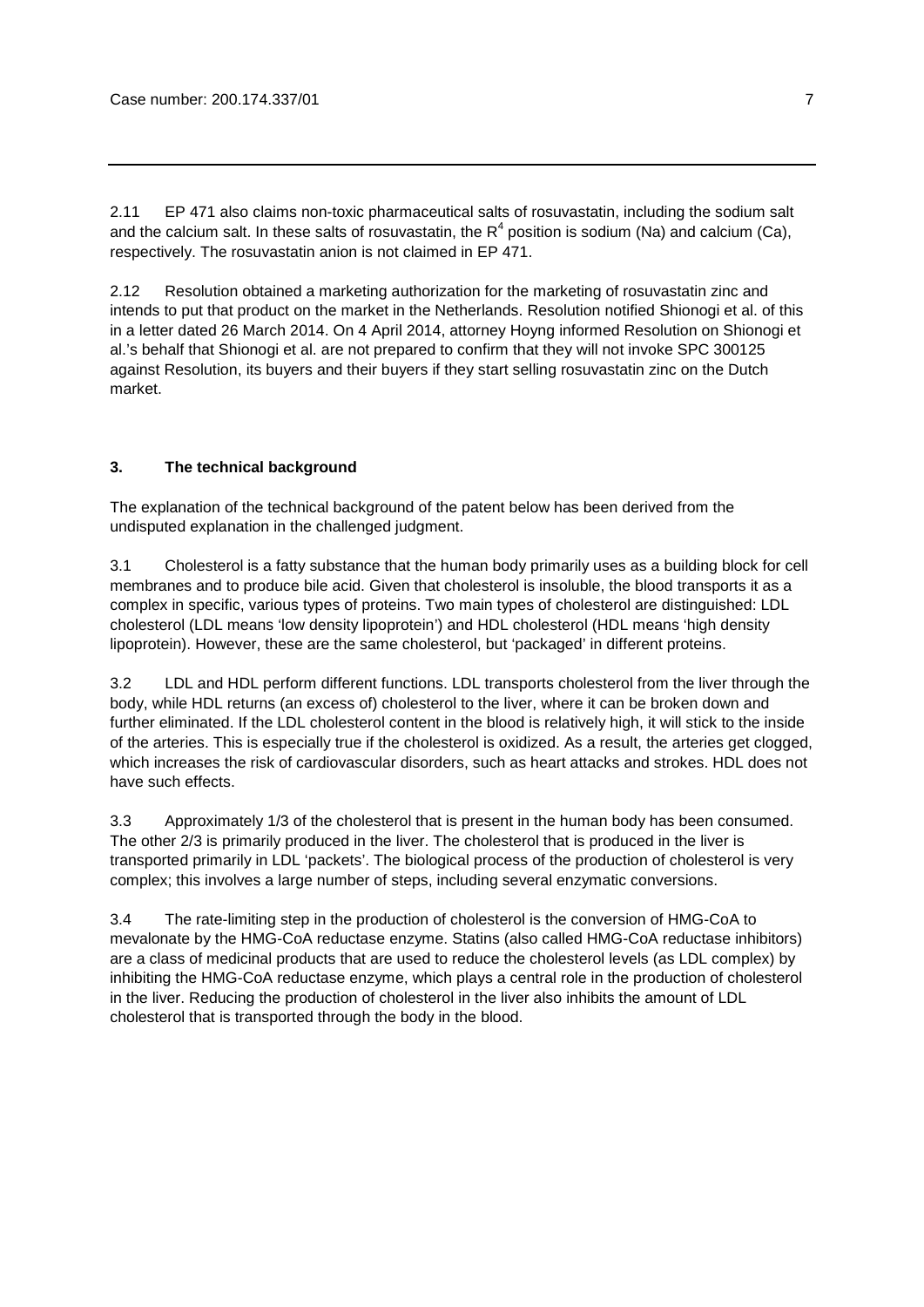2.11 EP 471 also claims non-toxic pharmaceutical salts of rosuvastatin, including the sodium salt and the calcium salt. In these salts of rosuvastatin, the  $R^4$  position is sodium (Na) and calcium (Ca), respectively. The rosuvastatin anion is not claimed in EP 471.

2.12 Resolution obtained a marketing authorization for the marketing of rosuvastatin zinc and intends to put that product on the market in the Netherlands. Resolution notified Shionogi et al. of this in a letter dated 26 March 2014. On 4 April 2014, attorney Hoyng informed Resolution on Shionogi et al.'s behalf that Shionogi et al. are not prepared to confirm that they will not invoke SPC 300125 against Resolution, its buyers and their buyers if they start selling rosuvastatin zinc on the Dutch market.

# **3. The technical background**

The explanation of the technical background of the patent below has been derived from the undisputed explanation in the challenged judgment.

3.1 Cholesterol is a fatty substance that the human body primarily uses as a building block for cell membranes and to produce bile acid. Given that cholesterol is insoluble, the blood transports it as a complex in specific, various types of proteins. Two main types of cholesterol are distinguished: LDL cholesterol (LDL means 'low density lipoprotein') and HDL cholesterol (HDL means 'high density lipoprotein). However, these are the same cholesterol, but 'packaged' in different proteins.

3.2 LDL and HDL perform different functions. LDL transports cholesterol from the liver through the body, while HDL returns (an excess of) cholesterol to the liver, where it can be broken down and further eliminated. If the LDL cholesterol content in the blood is relatively high, it will stick to the inside of the arteries. This is especially true if the cholesterol is oxidized. As a result, the arteries get clogged, which increases the risk of cardiovascular disorders, such as heart attacks and strokes. HDL does not have such effects.

3.3 Approximately 1/3 of the cholesterol that is present in the human body has been consumed. The other 2/3 is primarily produced in the liver. The cholesterol that is produced in the liver is transported primarily in LDL 'packets'. The biological process of the production of cholesterol is very complex; this involves a large number of steps, including several enzymatic conversions.

3.4 The rate-limiting step in the production of cholesterol is the conversion of HMG-CoA to mevalonate by the HMG-CoA reductase enzyme. Statins (also called HMG-CoA reductase inhibitors) are a class of medicinal products that are used to reduce the cholesterol levels (as LDL complex) by inhibiting the HMG-CoA reductase enzyme, which plays a central role in the production of cholesterol in the liver. Reducing the production of cholesterol in the liver also inhibits the amount of LDL cholesterol that is transported through the body in the blood.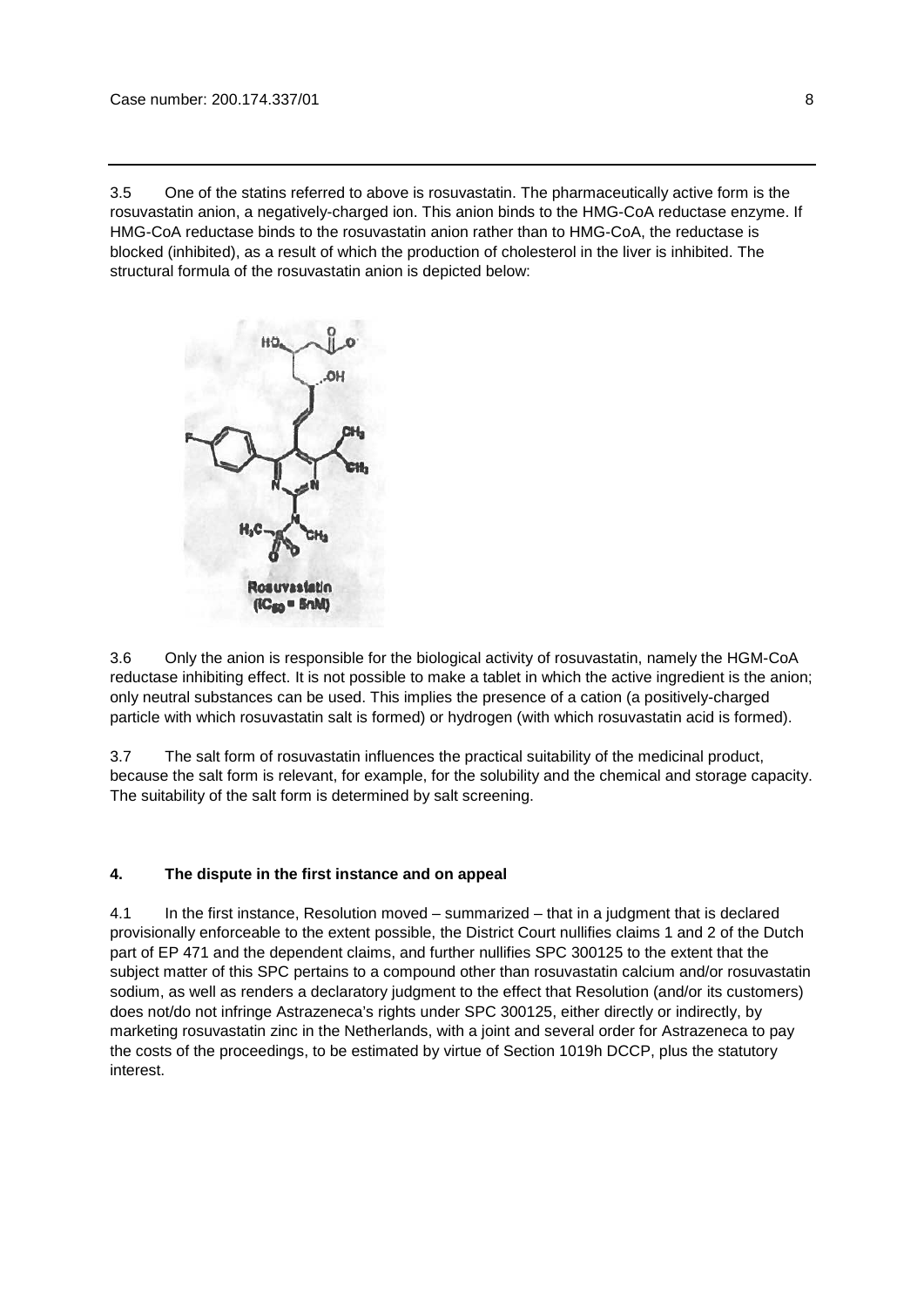3.5 One of the statins referred to above is rosuvastatin. The pharmaceutically active form is the rosuvastatin anion, a negatively-charged ion. This anion binds to the HMG-CoA reductase enzyme. If HMG-CoA reductase binds to the rosuvastatin anion rather than to HMG-CoA, the reductase is blocked (inhibited), as a result of which the production of cholesterol in the liver is inhibited. The structural formula of the rosuvastatin anion is depicted below:



3.6 Only the anion is responsible for the biological activity of rosuvastatin, namely the HGM-CoA reductase inhibiting effect. It is not possible to make a tablet in which the active ingredient is the anion; only neutral substances can be used. This implies the presence of a cation (a positively-charged particle with which rosuvastatin salt is formed) or hydrogen (with which rosuvastatin acid is formed).

3.7 The salt form of rosuvastatin influences the practical suitability of the medicinal product, because the salt form is relevant, for example, for the solubility and the chemical and storage capacity. The suitability of the salt form is determined by salt screening.

# **4. The dispute in the first instance and on appeal**

4.1 In the first instance, Resolution moved – summarized – that in a judgment that is declared provisionally enforceable to the extent possible, the District Court nullifies claims 1 and 2 of the Dutch part of EP 471 and the dependent claims, and further nullifies SPC 300125 to the extent that the subject matter of this SPC pertains to a compound other than rosuvastatin calcium and/or rosuvastatin sodium, as well as renders a declaratory judgment to the effect that Resolution (and/or its customers) does not/do not infringe Astrazeneca's rights under SPC 300125, either directly or indirectly, by marketing rosuvastatin zinc in the Netherlands, with a joint and several order for Astrazeneca to pay the costs of the proceedings, to be estimated by virtue of Section 1019h DCCP, plus the statutory interest.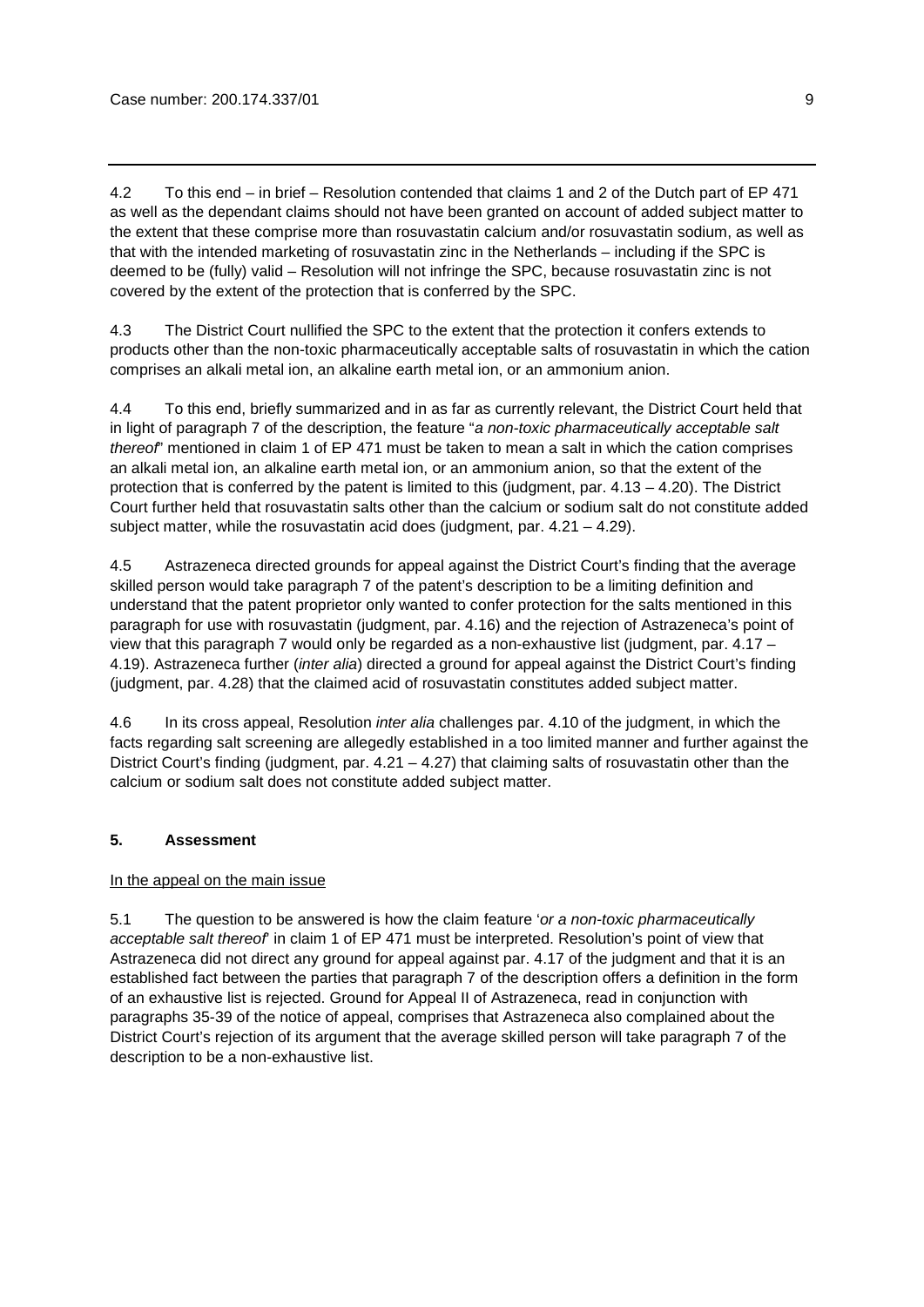4.2 To this end – in brief – Resolution contended that claims 1 and 2 of the Dutch part of EP 471 as well as the dependant claims should not have been granted on account of added subject matter to the extent that these comprise more than rosuvastatin calcium and/or rosuvastatin sodium, as well as that with the intended marketing of rosuvastatin zinc in the Netherlands – including if the SPC is deemed to be (fully) valid – Resolution will not infringe the SPC, because rosuvastatin zinc is not covered by the extent of the protection that is conferred by the SPC.

4.3 The District Court nullified the SPC to the extent that the protection it confers extends to products other than the non-toxic pharmaceutically acceptable salts of rosuvastatin in which the cation comprises an alkali metal ion, an alkaline earth metal ion, or an ammonium anion.

4.4 To this end, briefly summarized and in as far as currently relevant, the District Court held that in light of paragraph 7 of the description, the feature "*a non-toxic pharmaceutically acceptable salt thereof*" mentioned in claim 1 of EP 471 must be taken to mean a salt in which the cation comprises an alkali metal ion, an alkaline earth metal ion, or an ammonium anion, so that the extent of the protection that is conferred by the patent is limited to this (judgment, par.  $4.13 - 4.20$ ). The District Court further held that rosuvastatin salts other than the calcium or sodium salt do not constitute added subject matter, while the rosuvastatin acid does (judgment, par.  $4.21 - 4.29$ ).

4.5 Astrazeneca directed grounds for appeal against the District Court's finding that the average skilled person would take paragraph 7 of the patent's description to be a limiting definition and understand that the patent proprietor only wanted to confer protection for the salts mentioned in this paragraph for use with rosuvastatin (judgment, par. 4.16) and the rejection of Astrazeneca's point of view that this paragraph 7 would only be regarded as a non-exhaustive list (judgment, par. 4.17 – 4.19). Astrazeneca further (*inter alia*) directed a ground for appeal against the District Court's finding (judgment, par. 4.28) that the claimed acid of rosuvastatin constitutes added subject matter.

4.6 In its cross appeal, Resolution *inter alia* challenges par. 4.10 of the judgment, in which the facts regarding salt screening are allegedly established in a too limited manner and further against the District Court's finding (judgment, par.  $4.21 - 4.27$ ) that claiming salts of rosuvastatin other than the calcium or sodium salt does not constitute added subject matter.

# **5. Assessment**

# In the appeal on the main issue

5.1 The question to be answered is how the claim feature '*or a non-toxic pharmaceutically acceptable salt thereof*' in claim 1 of EP 471 must be interpreted. Resolution's point of view that Astrazeneca did not direct any ground for appeal against par. 4.17 of the judgment and that it is an established fact between the parties that paragraph 7 of the description offers a definition in the form of an exhaustive list is rejected. Ground for Appeal II of Astrazeneca, read in conjunction with paragraphs 35-39 of the notice of appeal, comprises that Astrazeneca also complained about the District Court's rejection of its argument that the average skilled person will take paragraph 7 of the description to be a non-exhaustive list.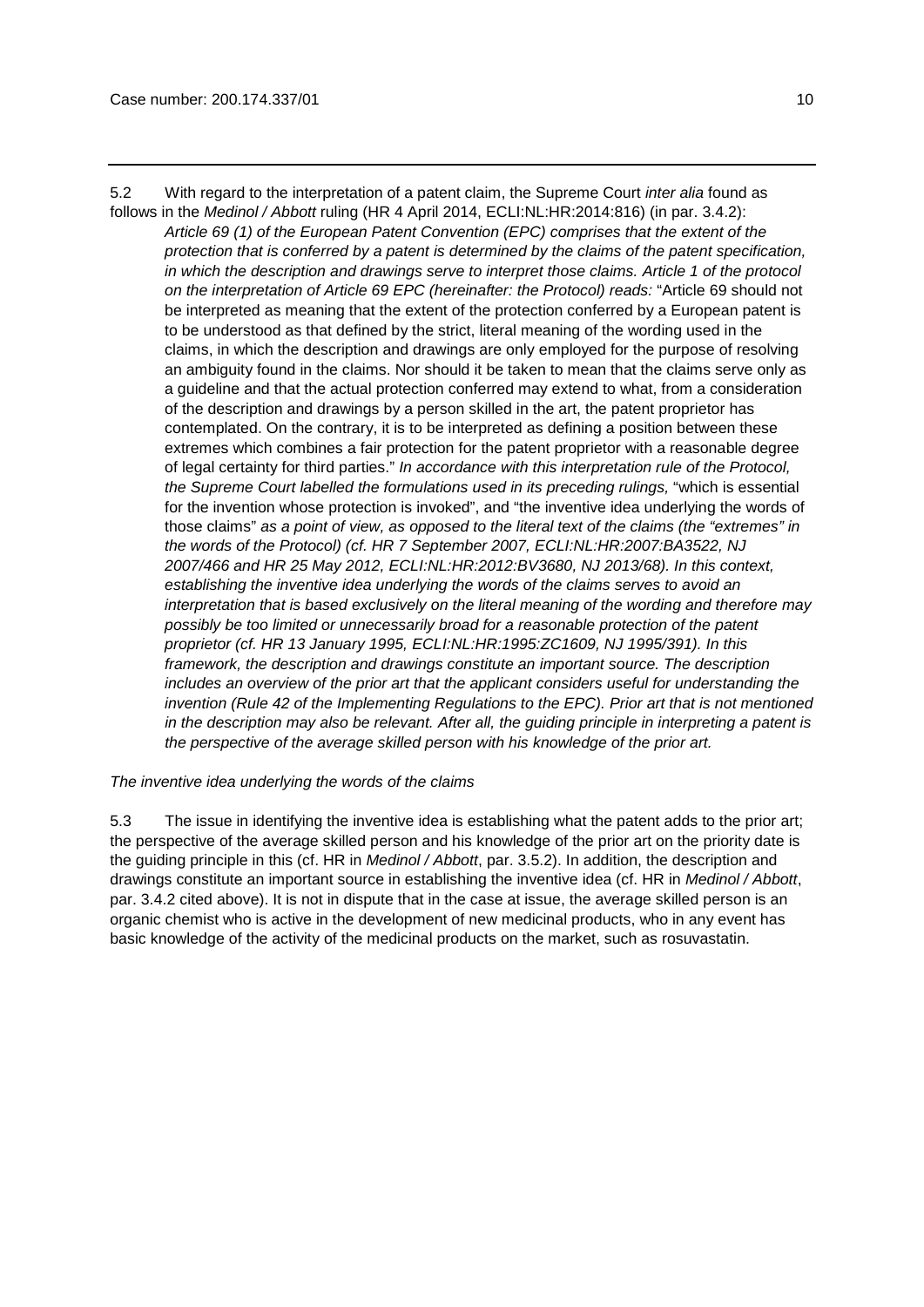5.2 With regard to the interpretation of a patent claim, the Supreme Court *inter alia* found as follows in the *Medinol / Abbott* ruling (HR 4 April 2014, ECLI:NL:HR:2014:816) (in par. 3.4.2):

*Article 69 (1) of the European Patent Convention (EPC) comprises that the extent of the protection that is conferred by a patent is determined by the claims of the patent specification, in which the description and drawings serve to interpret those claims. Article 1 of the protocol on the interpretation of Article 69 EPC (hereinafter: the Protocol) reads:* "Article 69 should not be interpreted as meaning that the extent of the protection conferred by a European patent is to be understood as that defined by the strict, literal meaning of the wording used in the claims, in which the description and drawings are only employed for the purpose of resolving an ambiguity found in the claims. Nor should it be taken to mean that the claims serve only as a guideline and that the actual protection conferred may extend to what, from a consideration of the description and drawings by a person skilled in the art, the patent proprietor has contemplated. On the contrary, it is to be interpreted as defining a position between these extremes which combines a fair protection for the patent proprietor with a reasonable degree of legal certainty for third parties." *In accordance with this interpretation rule of the Protocol, the Supreme Court labelled the formulations used in its preceding rulings,* "which is essential for the invention whose protection is invoked", and "the inventive idea underlying the words of those claims" *as a point of view, as opposed to the literal text of the claims (the "extremes" in the words of the Protocol) (cf. HR 7 September 2007, ECLI:NL:HR:2007:BA3522, NJ 2007/466 and HR 25 May 2012, ECLI:NL:HR:2012:BV3680, NJ 2013/68). In this context, establishing the inventive idea underlying the words of the claims serves to avoid an interpretation that is based exclusively on the literal meaning of the wording and therefore may possibly be too limited or unnecessarily broad for a reasonable protection of the patent proprietor (cf. HR 13 January 1995, ECLI:NL:HR:1995:ZC1609, NJ 1995/391). In this framework, the description and drawings constitute an important source. The description includes an overview of the prior art that the applicant considers useful for understanding the invention (Rule 42 of the Implementing Regulations to the EPC). Prior art that is not mentioned in the description may also be relevant. After all, the guiding principle in interpreting a patent is the perspective of the average skilled person with his knowledge of the prior art.* 

*The inventive idea underlying the words of the claims*

5.3 The issue in identifying the inventive idea is establishing what the patent adds to the prior art; the perspective of the average skilled person and his knowledge of the prior art on the priority date is the guiding principle in this (cf. HR in *Medinol / Abbott*, par. 3.5.2). In addition, the description and drawings constitute an important source in establishing the inventive idea (cf. HR in *Medinol / Abbott*, par. 3.4.2 cited above). It is not in dispute that in the case at issue, the average skilled person is an organic chemist who is active in the development of new medicinal products, who in any event has basic knowledge of the activity of the medicinal products on the market, such as rosuvastatin.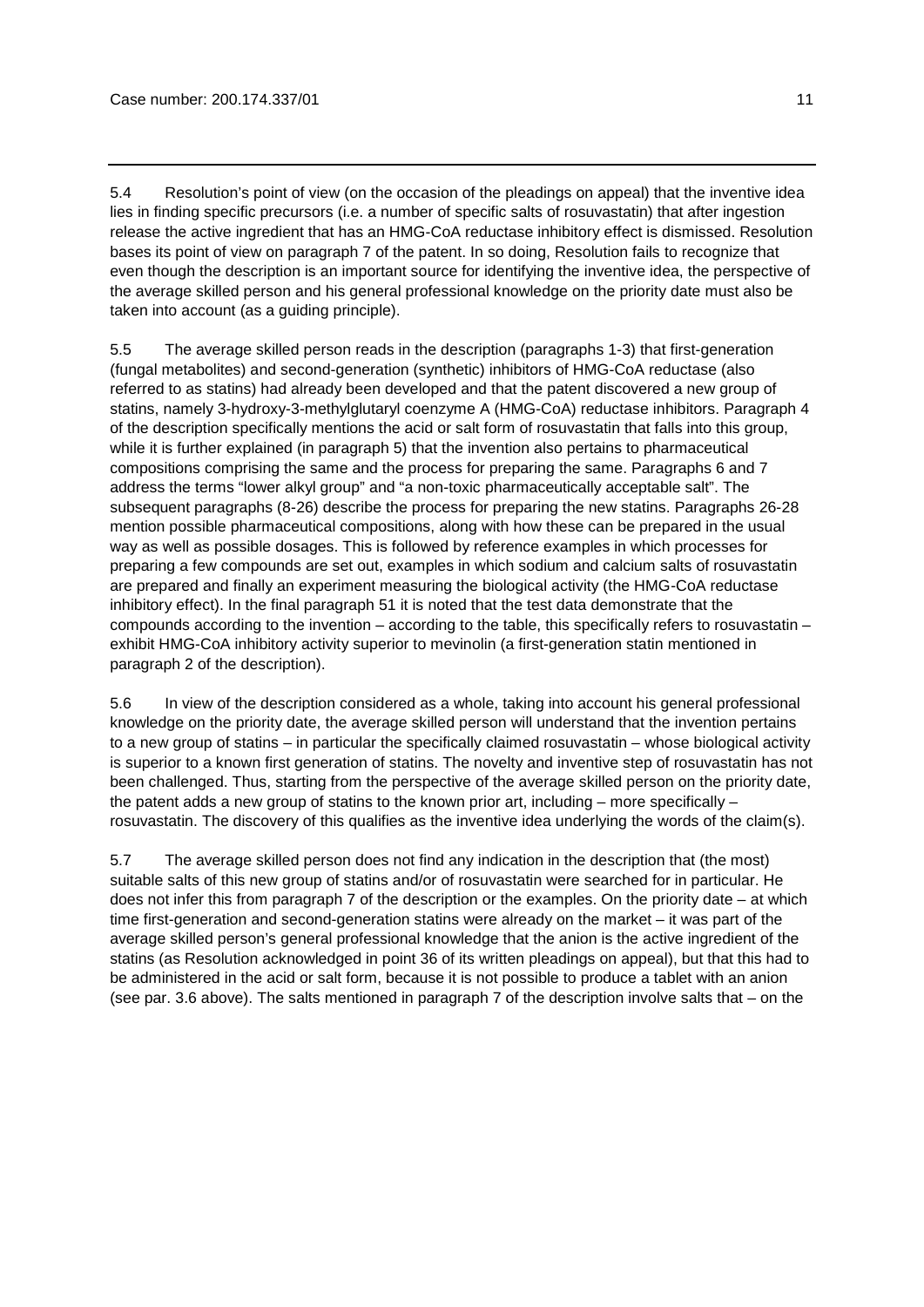5.4 Resolution's point of view (on the occasion of the pleadings on appeal) that the inventive idea lies in finding specific precursors (i.e. a number of specific salts of rosuvastatin) that after ingestion release the active ingredient that has an HMG-CoA reductase inhibitory effect is dismissed. Resolution bases its point of view on paragraph 7 of the patent. In so doing, Resolution fails to recognize that even though the description is an important source for identifying the inventive idea, the perspective of the average skilled person and his general professional knowledge on the priority date must also be taken into account (as a guiding principle).

5.5 The average skilled person reads in the description (paragraphs 1-3) that first-generation (fungal metabolites) and second-generation (synthetic) inhibitors of HMG-CoA reductase (also referred to as statins) had already been developed and that the patent discovered a new group of statins, namely 3-hydroxy-3-methylglutaryl coenzyme A (HMG-CoA) reductase inhibitors. Paragraph 4 of the description specifically mentions the acid or salt form of rosuvastatin that falls into this group, while it is further explained (in paragraph 5) that the invention also pertains to pharmaceutical compositions comprising the same and the process for preparing the same. Paragraphs 6 and 7 address the terms "lower alkyl group" and "a non-toxic pharmaceutically acceptable salt". The subsequent paragraphs (8-26) describe the process for preparing the new statins. Paragraphs 26-28 mention possible pharmaceutical compositions, along with how these can be prepared in the usual way as well as possible dosages. This is followed by reference examples in which processes for preparing a few compounds are set out, examples in which sodium and calcium salts of rosuvastatin are prepared and finally an experiment measuring the biological activity (the HMG-CoA reductase inhibitory effect). In the final paragraph 51 it is noted that the test data demonstrate that the compounds according to the invention – according to the table, this specifically refers to rosuvastatin – exhibit HMG-CoA inhibitory activity superior to mevinolin (a first-generation statin mentioned in paragraph 2 of the description).

5.6 In view of the description considered as a whole, taking into account his general professional knowledge on the priority date, the average skilled person will understand that the invention pertains to a new group of statins – in particular the specifically claimed rosuvastatin – whose biological activity is superior to a known first generation of statins. The novelty and inventive step of rosuvastatin has not been challenged. Thus, starting from the perspective of the average skilled person on the priority date, the patent adds a new group of statins to the known prior art, including – more specifically – rosuvastatin. The discovery of this qualifies as the inventive idea underlying the words of the claim(s).

5.7 The average skilled person does not find any indication in the description that (the most) suitable salts of this new group of statins and/or of rosuvastatin were searched for in particular. He does not infer this from paragraph 7 of the description or the examples. On the priority date – at which time first-generation and second-generation statins were already on the market – it was part of the average skilled person's general professional knowledge that the anion is the active ingredient of the statins (as Resolution acknowledged in point 36 of its written pleadings on appeal), but that this had to be administered in the acid or salt form, because it is not possible to produce a tablet with an anion (see par. 3.6 above). The salts mentioned in paragraph 7 of the description involve salts that – on the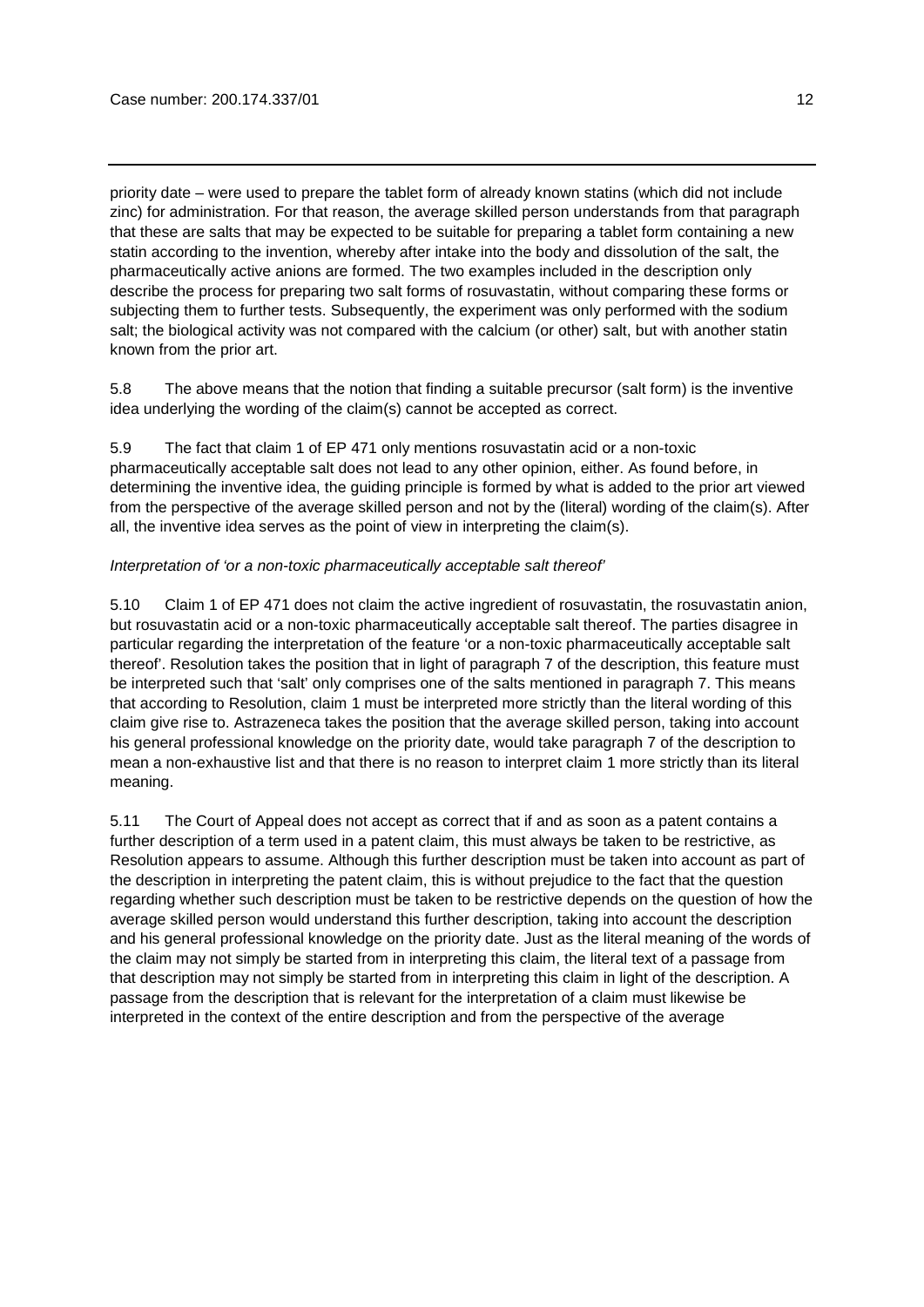priority date – were used to prepare the tablet form of already known statins (which did not include zinc) for administration. For that reason, the average skilled person understands from that paragraph that these are salts that may be expected to be suitable for preparing a tablet form containing a new statin according to the invention, whereby after intake into the body and dissolution of the salt, the pharmaceutically active anions are formed. The two examples included in the description only describe the process for preparing two salt forms of rosuvastatin, without comparing these forms or subjecting them to further tests. Subsequently, the experiment was only performed with the sodium salt; the biological activity was not compared with the calcium (or other) salt, but with another statin known from the prior art.

5.8 The above means that the notion that finding a suitable precursor (salt form) is the inventive idea underlying the wording of the claim(s) cannot be accepted as correct.

5.9 The fact that claim 1 of EP 471 only mentions rosuvastatin acid or a non-toxic pharmaceutically acceptable salt does not lead to any other opinion, either. As found before, in determining the inventive idea, the guiding principle is formed by what is added to the prior art viewed from the perspective of the average skilled person and not by the (literal) wording of the claim(s). After all, the inventive idea serves as the point of view in interpreting the claim(s).

### *Interpretation of 'or a non-toxic pharmaceutically acceptable salt thereof'*

5.10 Claim 1 of EP 471 does not claim the active ingredient of rosuvastatin, the rosuvastatin anion, but rosuvastatin acid or a non-toxic pharmaceutically acceptable salt thereof. The parties disagree in particular regarding the interpretation of the feature 'or a non-toxic pharmaceutically acceptable salt thereof'. Resolution takes the position that in light of paragraph 7 of the description, this feature must be interpreted such that 'salt' only comprises one of the salts mentioned in paragraph 7. This means that according to Resolution, claim 1 must be interpreted more strictly than the literal wording of this claim give rise to. Astrazeneca takes the position that the average skilled person, taking into account his general professional knowledge on the priority date, would take paragraph 7 of the description to mean a non-exhaustive list and that there is no reason to interpret claim 1 more strictly than its literal meaning.

5.11 The Court of Appeal does not accept as correct that if and as soon as a patent contains a further description of a term used in a patent claim, this must always be taken to be restrictive, as Resolution appears to assume. Although this further description must be taken into account as part of the description in interpreting the patent claim, this is without prejudice to the fact that the question regarding whether such description must be taken to be restrictive depends on the question of how the average skilled person would understand this further description, taking into account the description and his general professional knowledge on the priority date. Just as the literal meaning of the words of the claim may not simply be started from in interpreting this claim, the literal text of a passage from that description may not simply be started from in interpreting this claim in light of the description. A passage from the description that is relevant for the interpretation of a claim must likewise be interpreted in the context of the entire description and from the perspective of the average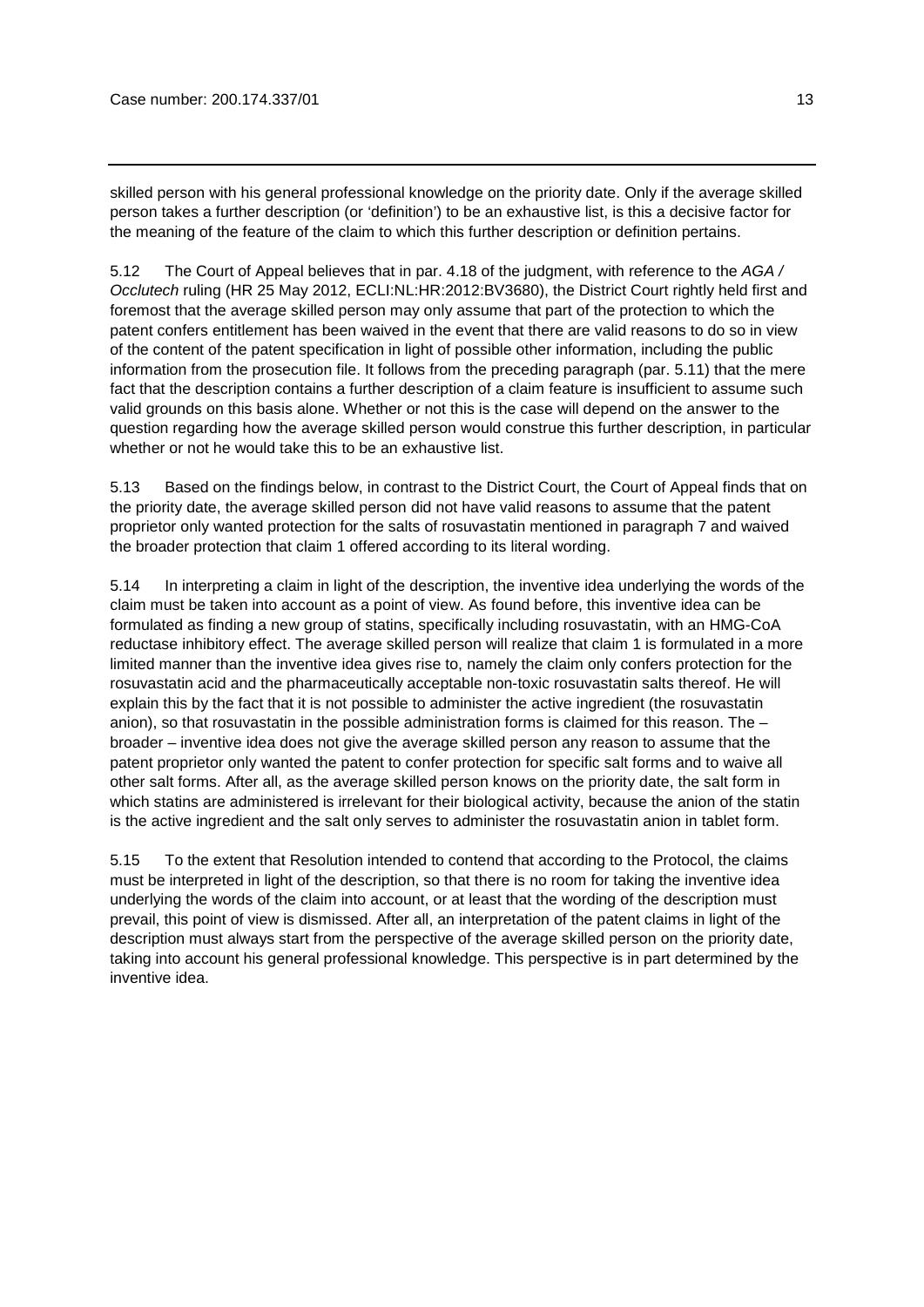skilled person with his general professional knowledge on the priority date. Only if the average skilled person takes a further description (or 'definition') to be an exhaustive list, is this a decisive factor for the meaning of the feature of the claim to which this further description or definition pertains.

5.12 The Court of Appeal believes that in par. 4.18 of the judgment, with reference to the *AGA / Occlutech* ruling (HR 25 May 2012, ECLI:NL:HR:2012:BV3680), the District Court rightly held first and foremost that the average skilled person may only assume that part of the protection to which the patent confers entitlement has been waived in the event that there are valid reasons to do so in view of the content of the patent specification in light of possible other information, including the public information from the prosecution file. It follows from the preceding paragraph (par. 5.11) that the mere fact that the description contains a further description of a claim feature is insufficient to assume such valid grounds on this basis alone. Whether or not this is the case will depend on the answer to the question regarding how the average skilled person would construe this further description, in particular whether or not he would take this to be an exhaustive list.

5.13 Based on the findings below, in contrast to the District Court, the Court of Appeal finds that on the priority date, the average skilled person did not have valid reasons to assume that the patent proprietor only wanted protection for the salts of rosuvastatin mentioned in paragraph 7 and waived the broader protection that claim 1 offered according to its literal wording.

5.14 In interpreting a claim in light of the description, the inventive idea underlying the words of the claim must be taken into account as a point of view. As found before, this inventive idea can be formulated as finding a new group of statins, specifically including rosuvastatin, with an HMG-CoA reductase inhibitory effect. The average skilled person will realize that claim 1 is formulated in a more limited manner than the inventive idea gives rise to, namely the claim only confers protection for the rosuvastatin acid and the pharmaceutically acceptable non-toxic rosuvastatin salts thereof. He will explain this by the fact that it is not possible to administer the active ingredient (the rosuvastatin anion), so that rosuvastatin in the possible administration forms is claimed for this reason. The – broader – inventive idea does not give the average skilled person any reason to assume that the patent proprietor only wanted the patent to confer protection for specific salt forms and to waive all other salt forms. After all, as the average skilled person knows on the priority date, the salt form in which statins are administered is irrelevant for their biological activity, because the anion of the statin is the active ingredient and the salt only serves to administer the rosuvastatin anion in tablet form.

5.15 To the extent that Resolution intended to contend that according to the Protocol, the claims must be interpreted in light of the description, so that there is no room for taking the inventive idea underlying the words of the claim into account, or at least that the wording of the description must prevail, this point of view is dismissed. After all, an interpretation of the patent claims in light of the description must always start from the perspective of the average skilled person on the priority date, taking into account his general professional knowledge. This perspective is in part determined by the inventive idea.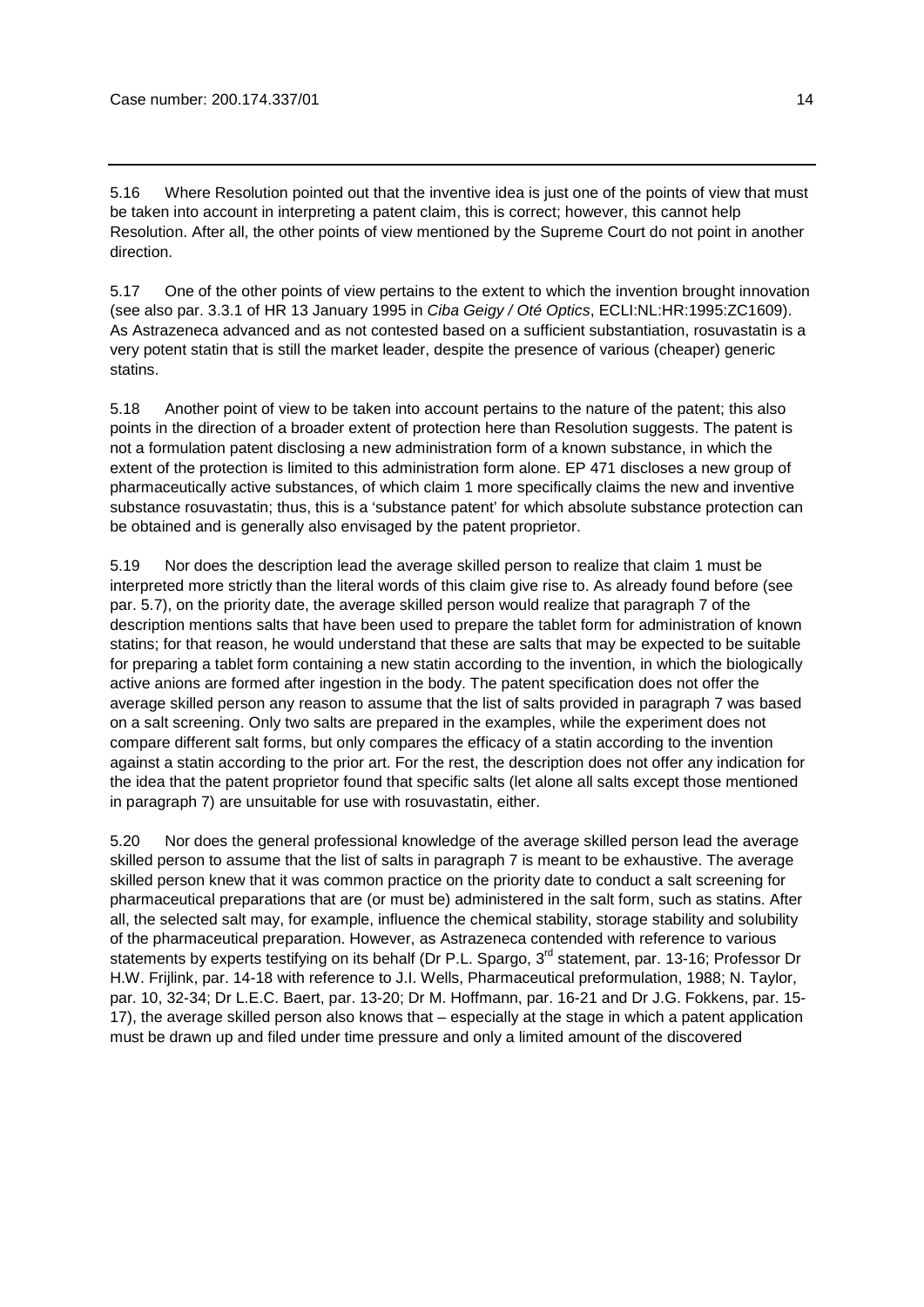5.16 Where Resolution pointed out that the inventive idea is just one of the points of view that must be taken into account in interpreting a patent claim, this is correct; however, this cannot help Resolution. After all, the other points of view mentioned by the Supreme Court do not point in another direction.

5.17 One of the other points of view pertains to the extent to which the invention brought innovation (see also par. 3.3.1 of HR 13 January 1995 in *Ciba Geigy / Oté Optics*, ECLI:NL:HR:1995:ZC1609). As Astrazeneca advanced and as not contested based on a sufficient substantiation, rosuvastatin is a very potent statin that is still the market leader, despite the presence of various (cheaper) generic statins.

5.18 Another point of view to be taken into account pertains to the nature of the patent; this also points in the direction of a broader extent of protection here than Resolution suggests. The patent is not a formulation patent disclosing a new administration form of a known substance, in which the extent of the protection is limited to this administration form alone. EP 471 discloses a new group of pharmaceutically active substances, of which claim 1 more specifically claims the new and inventive substance rosuvastatin; thus, this is a 'substance patent' for which absolute substance protection can be obtained and is generally also envisaged by the patent proprietor.

5.19 Nor does the description lead the average skilled person to realize that claim 1 must be interpreted more strictly than the literal words of this claim give rise to. As already found before (see par. 5.7), on the priority date, the average skilled person would realize that paragraph 7 of the description mentions salts that have been used to prepare the tablet form for administration of known statins; for that reason, he would understand that these are salts that may be expected to be suitable for preparing a tablet form containing a new statin according to the invention, in which the biologically active anions are formed after ingestion in the body. The patent specification does not offer the average skilled person any reason to assume that the list of salts provided in paragraph 7 was based on a salt screening. Only two salts are prepared in the examples, while the experiment does not compare different salt forms, but only compares the efficacy of a statin according to the invention against a statin according to the prior art. For the rest, the description does not offer any indication for the idea that the patent proprietor found that specific salts (let alone all salts except those mentioned in paragraph 7) are unsuitable for use with rosuvastatin, either.

5.20 Nor does the general professional knowledge of the average skilled person lead the average skilled person to assume that the list of salts in paragraph 7 is meant to be exhaustive. The average skilled person knew that it was common practice on the priority date to conduct a salt screening for pharmaceutical preparations that are (or must be) administered in the salt form, such as statins. After all, the selected salt may, for example, influence the chemical stability, storage stability and solubility of the pharmaceutical preparation. However, as Astrazeneca contended with reference to various statements by experts testifying on its behalf (Dr P.L. Spargo, 3<sup>rd</sup> statement, par. 13-16; Professor Dr H.W. Frijlink, par. 14-18 with reference to J.I. Wells, Pharmaceutical preformulation, 1988; N. Taylor, par. 10, 32-34; Dr L.E.C. Baert, par. 13-20; Dr M. Hoffmann, par. 16-21 and Dr J.G. Fokkens, par. 15- 17), the average skilled person also knows that – especially at the stage in which a patent application must be drawn up and filed under time pressure and only a limited amount of the discovered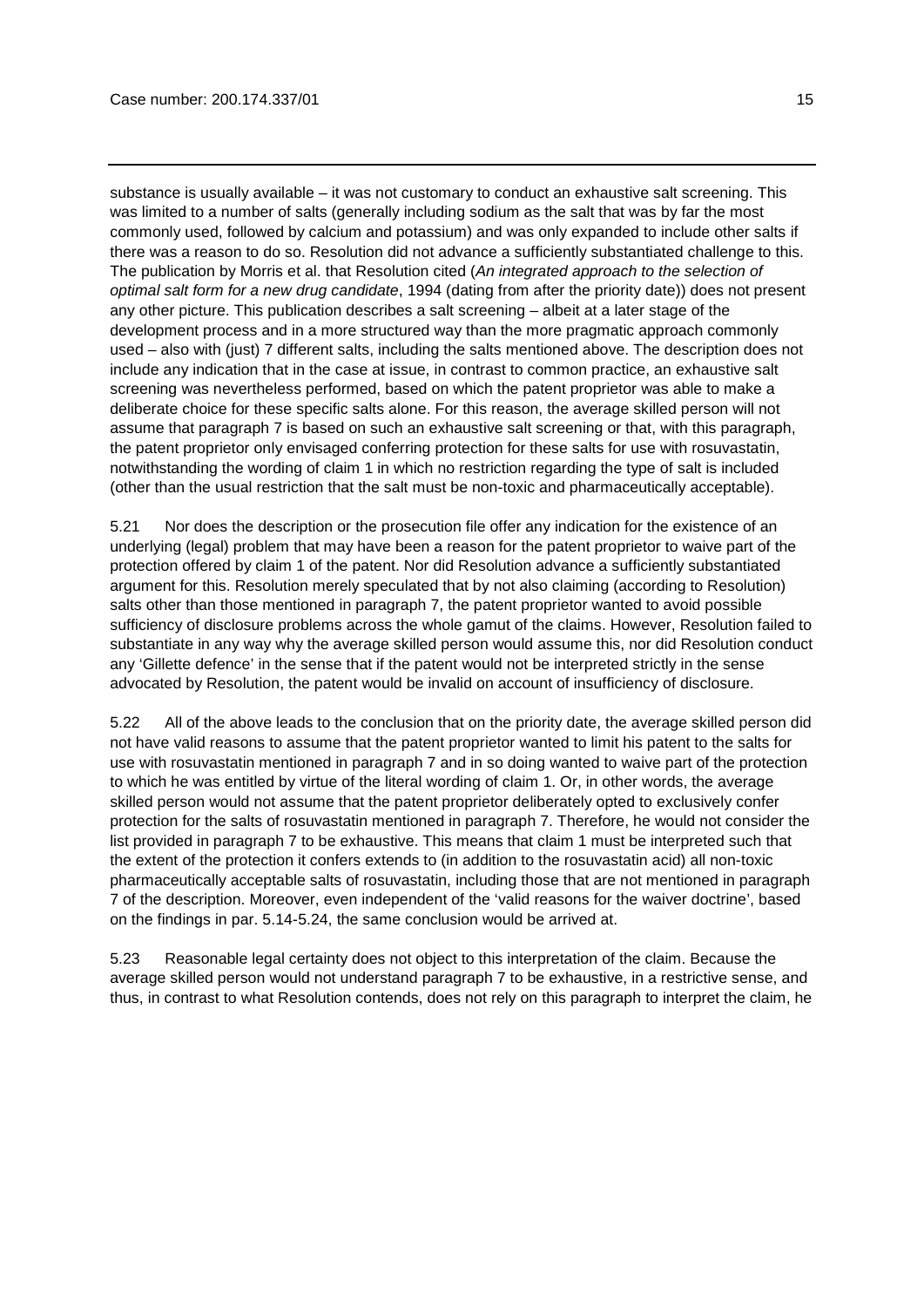substance is usually available – it was not customary to conduct an exhaustive salt screening. This was limited to a number of salts (generally including sodium as the salt that was by far the most commonly used, followed by calcium and potassium) and was only expanded to include other salts if there was a reason to do so. Resolution did not advance a sufficiently substantiated challenge to this. The publication by Morris et al. that Resolution cited (*An integrated approach to the selection of optimal salt form for a new drug candidate*, 1994 (dating from after the priority date)) does not present any other picture. This publication describes a salt screening – albeit at a later stage of the development process and in a more structured way than the more pragmatic approach commonly used – also with (just) 7 different salts, including the salts mentioned above. The description does not include any indication that in the case at issue, in contrast to common practice, an exhaustive salt screening was nevertheless performed, based on which the patent proprietor was able to make a deliberate choice for these specific salts alone. For this reason, the average skilled person will not assume that paragraph 7 is based on such an exhaustive salt screening or that, with this paragraph, the patent proprietor only envisaged conferring protection for these salts for use with rosuvastatin, notwithstanding the wording of claim 1 in which no restriction regarding the type of salt is included (other than the usual restriction that the salt must be non-toxic and pharmaceutically acceptable).

5.21 Nor does the description or the prosecution file offer any indication for the existence of an underlying (legal) problem that may have been a reason for the patent proprietor to waive part of the protection offered by claim 1 of the patent. Nor did Resolution advance a sufficiently substantiated argument for this. Resolution merely speculated that by not also claiming (according to Resolution) salts other than those mentioned in paragraph 7, the patent proprietor wanted to avoid possible sufficiency of disclosure problems across the whole gamut of the claims. However, Resolution failed to substantiate in any way why the average skilled person would assume this, nor did Resolution conduct any 'Gillette defence' in the sense that if the patent would not be interpreted strictly in the sense advocated by Resolution, the patent would be invalid on account of insufficiency of disclosure.

5.22 All of the above leads to the conclusion that on the priority date, the average skilled person did not have valid reasons to assume that the patent proprietor wanted to limit his patent to the salts for use with rosuvastatin mentioned in paragraph 7 and in so doing wanted to waive part of the protection to which he was entitled by virtue of the literal wording of claim 1. Or, in other words, the average skilled person would not assume that the patent proprietor deliberately opted to exclusively confer protection for the salts of rosuvastatin mentioned in paragraph 7. Therefore, he would not consider the list provided in paragraph 7 to be exhaustive. This means that claim 1 must be interpreted such that the extent of the protection it confers extends to (in addition to the rosuvastatin acid) all non-toxic pharmaceutically acceptable salts of rosuvastatin, including those that are not mentioned in paragraph 7 of the description. Moreover, even independent of the 'valid reasons for the waiver doctrine', based on the findings in par. 5.14-5.24, the same conclusion would be arrived at.

5.23 Reasonable legal certainty does not object to this interpretation of the claim. Because the average skilled person would not understand paragraph 7 to be exhaustive, in a restrictive sense, and thus, in contrast to what Resolution contends, does not rely on this paragraph to interpret the claim, he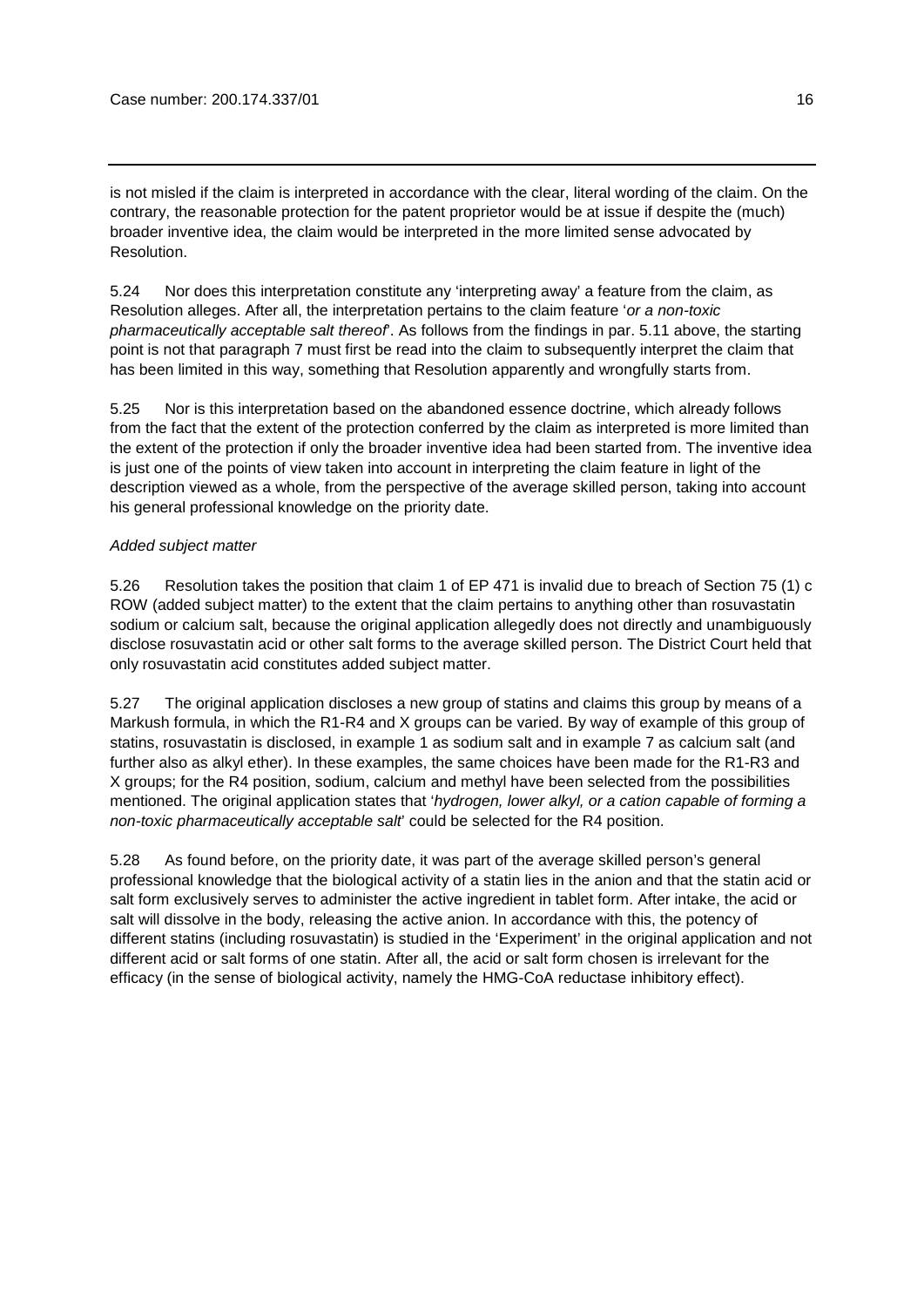is not misled if the claim is interpreted in accordance with the clear, literal wording of the claim. On the contrary, the reasonable protection for the patent proprietor would be at issue if despite the (much) broader inventive idea, the claim would be interpreted in the more limited sense advocated by Resolution.

5.24 Nor does this interpretation constitute any 'interpreting away' a feature from the claim, as Resolution alleges. After all, the interpretation pertains to the claim feature '*or a non-toxic pharmaceutically acceptable salt thereof*'. As follows from the findings in par. 5.11 above, the starting point is not that paragraph 7 must first be read into the claim to subsequently interpret the claim that has been limited in this way, something that Resolution apparently and wrongfully starts from.

5.25 Nor is this interpretation based on the abandoned essence doctrine, which already follows from the fact that the extent of the protection conferred by the claim as interpreted is more limited than the extent of the protection if only the broader inventive idea had been started from. The inventive idea is just one of the points of view taken into account in interpreting the claim feature in light of the description viewed as a whole, from the perspective of the average skilled person, taking into account his general professional knowledge on the priority date.

# *Added subject matter*

5.26 Resolution takes the position that claim 1 of EP 471 is invalid due to breach of Section 75 (1) c ROW (added subject matter) to the extent that the claim pertains to anything other than rosuvastatin sodium or calcium salt, because the original application allegedly does not directly and unambiguously disclose rosuvastatin acid or other salt forms to the average skilled person. The District Court held that only rosuvastatin acid constitutes added subject matter.

5.27 The original application discloses a new group of statins and claims this group by means of a Markush formula, in which the R1-R4 and X groups can be varied. By way of example of this group of statins, rosuvastatin is disclosed, in example 1 as sodium salt and in example 7 as calcium salt (and further also as alkyl ether). In these examples, the same choices have been made for the R1-R3 and X groups; for the R4 position, sodium, calcium and methyl have been selected from the possibilities mentioned. The original application states that '*hydrogen, lower alkyl, or a cation capable of forming a non-toxic pharmaceutically acceptable salt*' could be selected for the R4 position.

5.28 As found before, on the priority date, it was part of the average skilled person's general professional knowledge that the biological activity of a statin lies in the anion and that the statin acid or salt form exclusively serves to administer the active ingredient in tablet form. After intake, the acid or salt will dissolve in the body, releasing the active anion. In accordance with this, the potency of different statins (including rosuvastatin) is studied in the 'Experiment' in the original application and not different acid or salt forms of one statin. After all, the acid or salt form chosen is irrelevant for the efficacy (in the sense of biological activity, namely the HMG-CoA reductase inhibitory effect).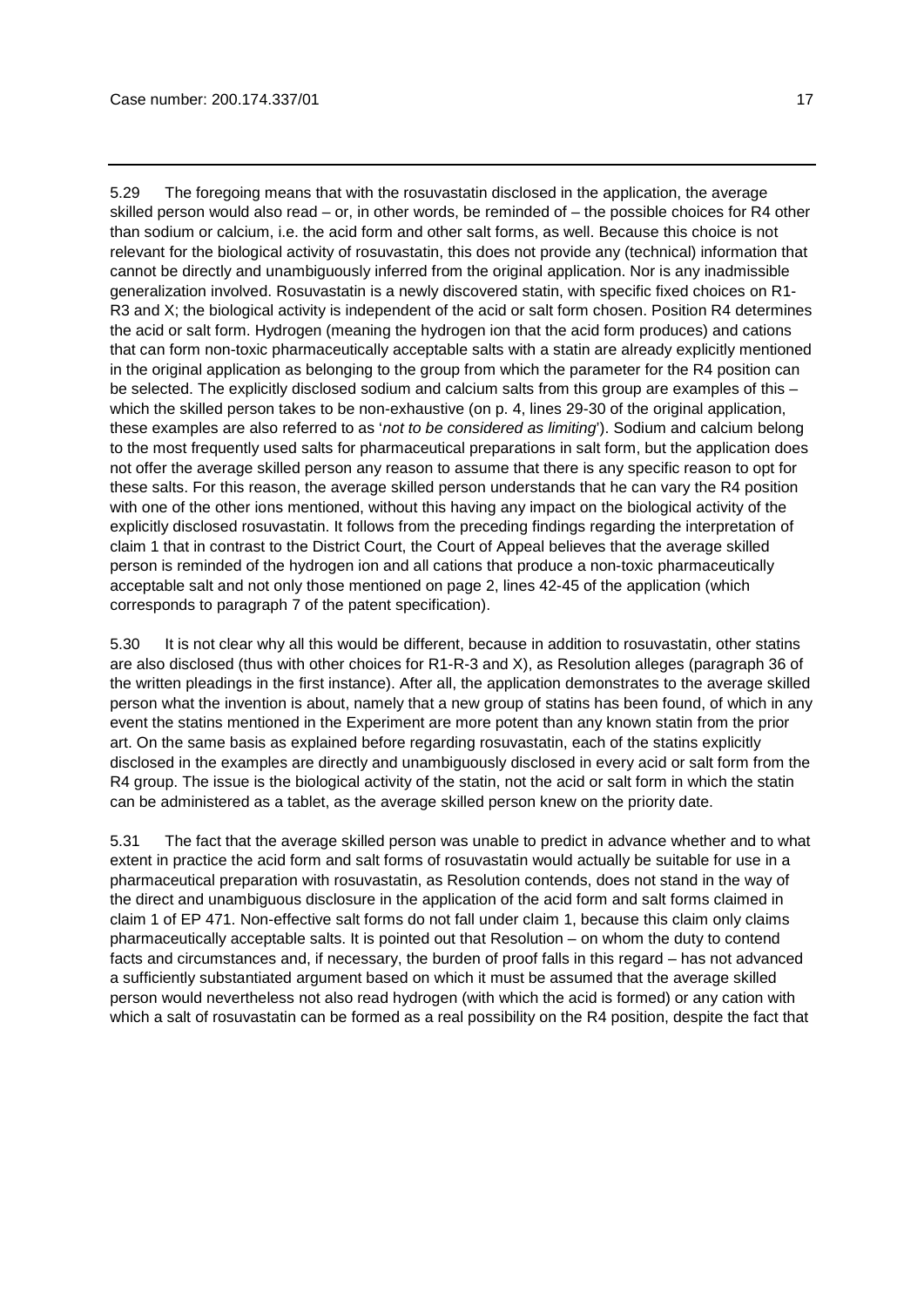5.29 The foregoing means that with the rosuvastatin disclosed in the application, the average skilled person would also read – or, in other words, be reminded of – the possible choices for R4 other than sodium or calcium, i.e. the acid form and other salt forms, as well. Because this choice is not relevant for the biological activity of rosuvastatin, this does not provide any (technical) information that cannot be directly and unambiguously inferred from the original application. Nor is any inadmissible generalization involved. Rosuvastatin is a newly discovered statin, with specific fixed choices on R1- R3 and X; the biological activity is independent of the acid or salt form chosen. Position R4 determines the acid or salt form. Hydrogen (meaning the hydrogen ion that the acid form produces) and cations that can form non-toxic pharmaceutically acceptable salts with a statin are already explicitly mentioned in the original application as belonging to the group from which the parameter for the R4 position can be selected. The explicitly disclosed sodium and calcium salts from this group are examples of this – which the skilled person takes to be non-exhaustive (on p. 4, lines 29-30 of the original application, these examples are also referred to as '*not to be considered as limiting*'). Sodium and calcium belong to the most frequently used salts for pharmaceutical preparations in salt form, but the application does not offer the average skilled person any reason to assume that there is any specific reason to opt for these salts. For this reason, the average skilled person understands that he can vary the R4 position with one of the other ions mentioned, without this having any impact on the biological activity of the explicitly disclosed rosuvastatin. It follows from the preceding findings regarding the interpretation of claim 1 that in contrast to the District Court, the Court of Appeal believes that the average skilled person is reminded of the hydrogen ion and all cations that produce a non-toxic pharmaceutically acceptable salt and not only those mentioned on page 2, lines 42-45 of the application (which corresponds to paragraph 7 of the patent specification).

5.30 It is not clear why all this would be different, because in addition to rosuvastatin, other statins are also disclosed (thus with other choices for R1-R-3 and X), as Resolution alleges (paragraph 36 of the written pleadings in the first instance). After all, the application demonstrates to the average skilled person what the invention is about, namely that a new group of statins has been found, of which in any event the statins mentioned in the Experiment are more potent than any known statin from the prior art. On the same basis as explained before regarding rosuvastatin, each of the statins explicitly disclosed in the examples are directly and unambiguously disclosed in every acid or salt form from the R4 group. The issue is the biological activity of the statin, not the acid or salt form in which the statin can be administered as a tablet, as the average skilled person knew on the priority date.

5.31 The fact that the average skilled person was unable to predict in advance whether and to what extent in practice the acid form and salt forms of rosuvastatin would actually be suitable for use in a pharmaceutical preparation with rosuvastatin, as Resolution contends, does not stand in the way of the direct and unambiguous disclosure in the application of the acid form and salt forms claimed in claim 1 of EP 471. Non-effective salt forms do not fall under claim 1, because this claim only claims pharmaceutically acceptable salts. It is pointed out that Resolution – on whom the duty to contend facts and circumstances and, if necessary, the burden of proof falls in this regard – has not advanced a sufficiently substantiated argument based on which it must be assumed that the average skilled person would nevertheless not also read hydrogen (with which the acid is formed) or any cation with which a salt of rosuvastatin can be formed as a real possibility on the R4 position, despite the fact that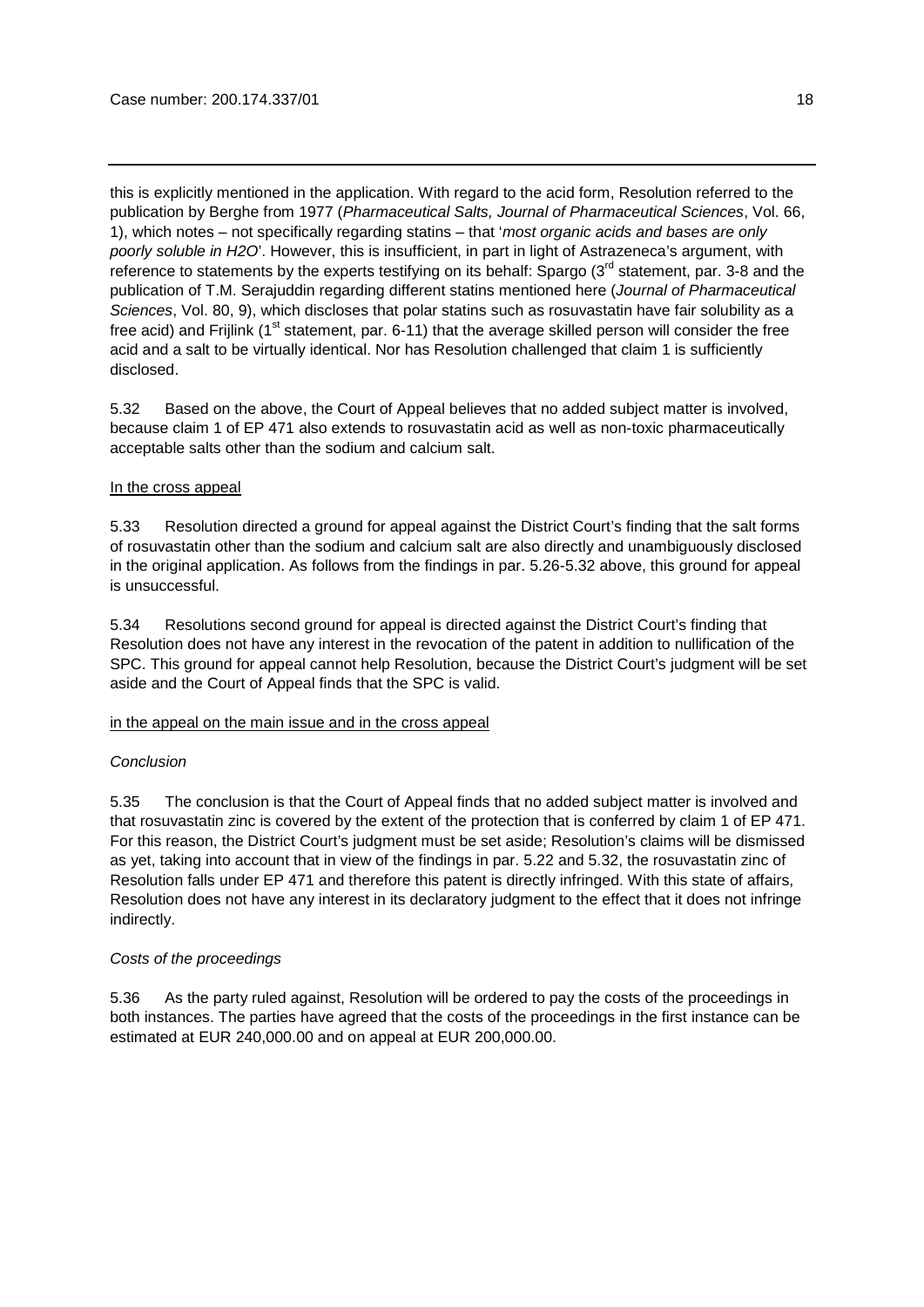this is explicitly mentioned in the application. With regard to the acid form, Resolution referred to the publication by Berghe from 1977 (*Pharmaceutical Salts, Journal of Pharmaceutical Sciences*, Vol. 66, 1), which notes – not specifically regarding statins – that '*most organic acids and bases are only poorly soluble in H2O*'. However, this is insufficient, in part in light of Astrazeneca's argument, with reference to statements by the experts testifying on its behalf: Spargo (3<sup>rd</sup> statement, par. 3-8 and the publication of T.M. Serajuddin regarding different statins mentioned here (*Journal of Pharmaceutical Sciences*, Vol. 80, 9), which discloses that polar statins such as rosuvastatin have fair solubility as a free acid) and Frijlink ( $1<sup>st</sup>$  statement, par. 6-11) that the average skilled person will consider the free acid and a salt to be virtually identical. Nor has Resolution challenged that claim 1 is sufficiently disclosed.

5.32 Based on the above, the Court of Appeal believes that no added subject matter is involved, because claim 1 of EP 471 also extends to rosuvastatin acid as well as non-toxic pharmaceutically acceptable salts other than the sodium and calcium salt.

### In the cross appeal

5.33 Resolution directed a ground for appeal against the District Court's finding that the salt forms of rosuvastatin other than the sodium and calcium salt are also directly and unambiguously disclosed in the original application. As follows from the findings in par. 5.26-5.32 above, this ground for appeal is unsuccessful.

5.34 Resolutions second ground for appeal is directed against the District Court's finding that Resolution does not have any interest in the revocation of the patent in addition to nullification of the SPC. This ground for appeal cannot help Resolution, because the District Court's judgment will be set aside and the Court of Appeal finds that the SPC is valid.

#### in the appeal on the main issue and in the cross appeal

#### *Conclusion*

5.35 The conclusion is that the Court of Appeal finds that no added subject matter is involved and that rosuvastatin zinc is covered by the extent of the protection that is conferred by claim 1 of EP 471. For this reason, the District Court's judgment must be set aside; Resolution's claims will be dismissed as yet, taking into account that in view of the findings in par. 5.22 and 5.32, the rosuvastatin zinc of Resolution falls under EP 471 and therefore this patent is directly infringed. With this state of affairs, Resolution does not have any interest in its declaratory judgment to the effect that it does not infringe indirectly.

# *Costs of the proceedings*

5.36 As the party ruled against, Resolution will be ordered to pay the costs of the proceedings in both instances. The parties have agreed that the costs of the proceedings in the first instance can be estimated at EUR 240,000.00 and on appeal at EUR 200,000.00.